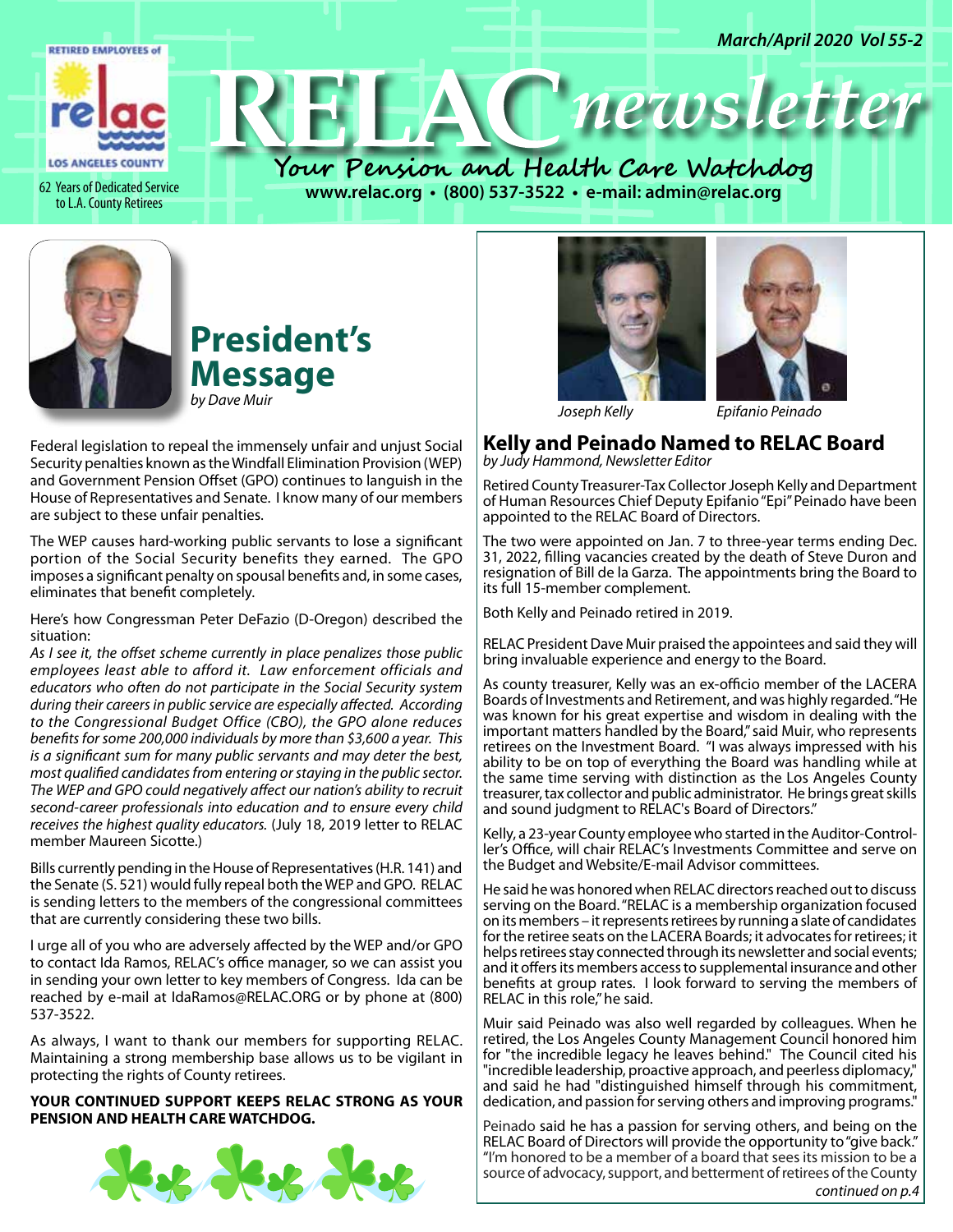

to L.A. County Retirees

62 Years of Dedicated Service **100 WWW.relac.org • (800) 537-3522 • e-mail: admin@relac.org** 



# **President's Message** *by Dave Muir*

Federal legislation to repeal the immensely unfair and unjust Social Security penalties known as the Windfall Elimination Provision (WEP) and Government Pension Offset (GPO) continues to languish in the House of Representatives and Senate. I know many of our members are subject to these unfair penalties.

The WEP causes hard-working public servants to lose a significant portion of the Social Security benefits they earned. The GPO imposes a significant penalty on spousal benefits and, in some cases, eliminates that benefit completely.

Here's how Congressman Peter DeFazio (D-Oregon) described the situation:

*As I see it, the offset scheme currently in place penalizes those public employees least able to afford it. Law enforcement officials and educators who often do not participate in the Social Security system during their careers in public service are especially affected. According to the Congressional Budget Office (CBO), the GPO alone reduces benefits for some 200,000 individuals by more than \$3,600 a year. This is a significant sum for many public servants and may deter the best, most qualified candidates from entering or staying in the public sector. The WEP and GPO could negatively affect our nation's ability to recruit second-career professionals into education and to ensure every child receives the highest quality educators.* (July 18, 2019 letter to RELAC member Maureen Sicotte.)

Bills currently pending in the House of Representatives (H.R. 141) and the Senate (S. 521) would fully repeal both the WEP and GPO. RELAC is sending letters to the members of the congressional committees that are currently considering these two bills.

I urge all of you who are adversely affected by the WEP and/or GPO to contact Ida Ramos, RELAC's office manager, so we can assist you in sending your own letter to key members of Congress. Ida can be reached by e-mail at IdaRamos@RELAC.ORG or by phone at (800) 537-3522.

As always, I want to thank our members for supporting RELAC. Maintaining a strong membership base allows us to be vigilant in protecting the rights of County retirees.

**YOUR CONTINUED SUPPORT KEEPS RELAC STRONG AS YOUR PENSION AND HEALTH CARE WATCHDOG.**







*Joseph Kelly Epifanio Peinado*

#### **Kelly and Peinado Named to RELAC Board** *by Judy Hammond, Newsletter Editor*

Retired County Treasurer-Tax Collector Joseph Kelly and Department of Human Resources Chief Deputy Epifanio "Epi" Peinado have been appointed to the RELAC Board of Directors.

The two were appointed on Jan. 7 to three-year terms ending Dec. 31, 2022, filling vacancies created by the death of Steve Duron and resignation of Bill de la Garza. The appointments bring the Board to its full 15-member complement.

Both Kelly and Peinado retired in 2019.

RELAC President Dave Muir praised the appointees and said they will bring invaluable experience and energy to the Board.

As county treasurer, Kelly was an ex-officio member of the LACERA Boards of Investments and Retirement, and was highly regarded. "He was known for his great expertise and wisdom in dealing with the important matters handled by the Board," said Muir, who represents retirees on the Investment Board. "I was always impressed with his ability to be on top of everything the Board was handling while at the same time serving with distinction as the Los Angeles County treasurer, tax collector and public administrator. He brings great skills and sound judgment to RELAC's Board of Directors."

Kelly, a 23-year County employee who started in the Auditor-Controller's Office, will chair RELAC's Investments Committee and serve on the Budget and Website/E-mail Advisor committees.

He said he was honored when RELAC directors reached out to discuss serving on the Board. "RELAC is a membership organization focused on its members – it represents retirees by running a slate of candidates for the retiree seats on the LACERA Boards; it advocates for retirees; it helps retirees stay connected through its newsletter and social events; and it offers its members access to supplemental insurance and other benefits at group rates. I look forward to serving the members of RELAC in this role," he said.

Muir said Peinado was also well regarded by colleagues. When he retired, the Los Angeles County Management Council honored him for "the incredible legacy he leaves behind." The Council cited his "incredible leadership, proactive approach, and peerless diplomacy," and said he had "distinguished himself through his commitment, dedication, and passion for serving others and improving programs."

Peinado said he has a passion for serving others, and being on the RELAC Board of Directors will provide the opportunity to "give back." "I'm honored to be a member of a board that sees its mission to be a source of advocacy, support, and betterment of retirees of the County *continued on p.4*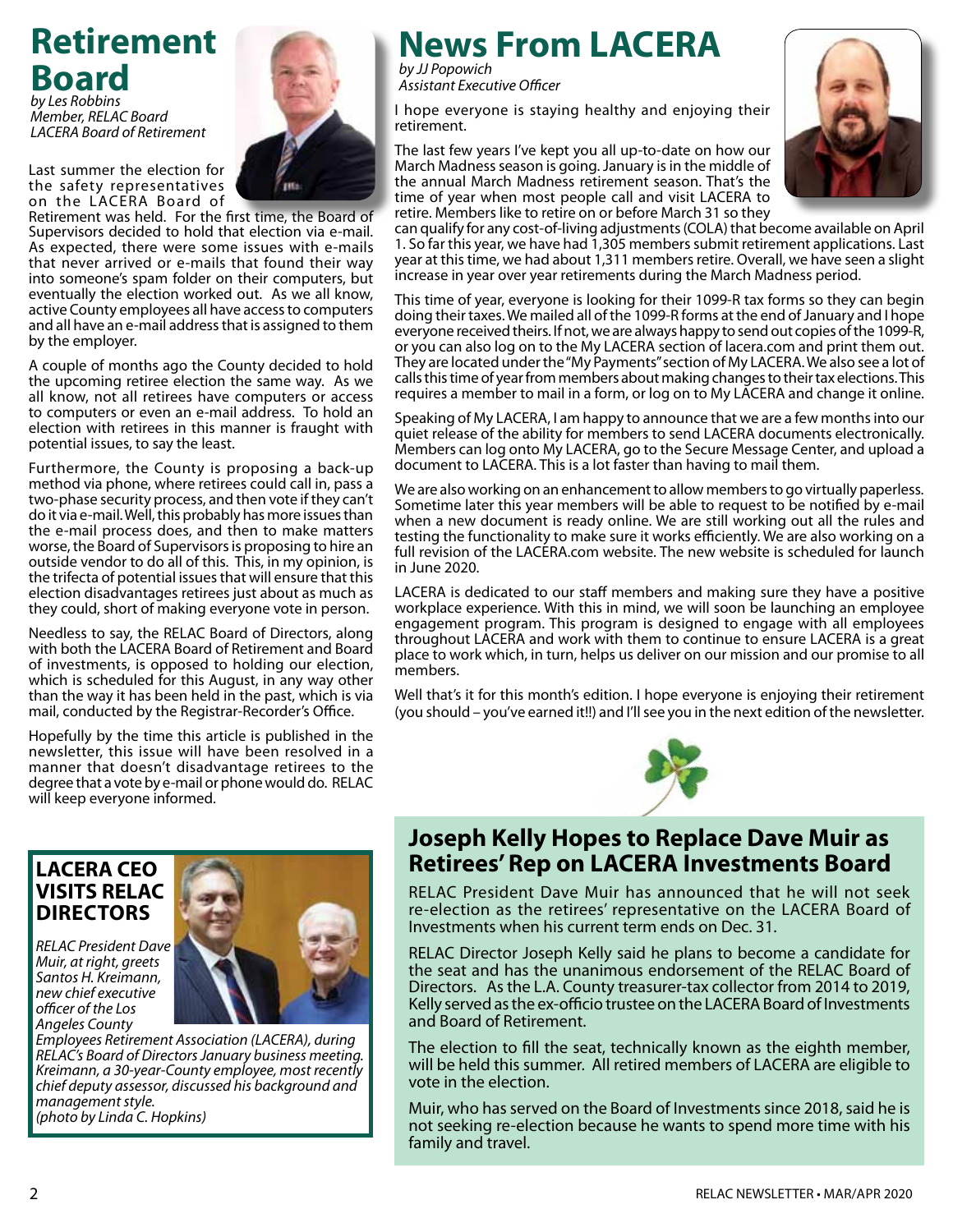# **Retirement Board** *by Les Robbins*

*Member, RELAC Board LACERA Board of Retirement*

Last summer the election for the safety representatives on the LACERA Board of



Retirement was held. For the first time, the Board of Supervisors decided to hold that election via e-mail. As expected, there were some issues with e-mails that never arrived or e-mails that found their way into someone's spam folder on their computers, but eventually the election worked out. As we all know, active County employees all have access to computers and all have an e-mail address that is assigned to them by the employer.

A couple of months ago the County decided to hold the upcoming retiree election the same way. As we all know, not all retirees have computers or access to computers or even an e-mail address. To hold an election with retirees in this manner is fraught with potential issues, to say the least.

Furthermore, the County is proposing a back-up method via phone, where retirees could call in, pass a two-phase security process, and then vote if they can't do it via e-mail. Well, this probably has more issues than the e-mail process does, and then to make matters worse, the Board of Supervisors is proposing to hire an outside vendor to do all of this. This, in my opinion, is the trifecta of potential issues that will ensure that this election disadvantages retirees just about as much as they could, short of making everyone vote in person.

Needless to say, the RELAC Board of Directors, along with both the LACERA Board of Retirement and Board of investments, is opposed to holding our election, which is scheduled for this August, in any way other than the way it has been held in the past, which is via mail, conducted by the Registrar-Recorder's Office.

Hopefully by the time this article is published in the newsletter, this issue will have been resolved in a manner that doesn't disadvantage retirees to the degree that a vote by e-mail or phone would do. RELAC will keep everyone informed.

### **LACERA CEO VISITS RELAC Directors**

*RELAC President Dave Muir, at right, greets Santos H. Kreimann, new chief executive officer of the Los Angeles County* 

*Employees Retirement Association (LACERA), during RELAC's Board of Directors January business meeting. Kreimann, a 30-year-County employee, most recently chief deputy assessor, discussed his background and management style. (photo by Linda C. Hopkins)*

# **News From LACERA**

*by JJ Popowich Assistant Executive Officer*

I hope everyone is staying healthy and enjoying their retirement.

The last few years I've kept you all up-to-date on how our March Madness season is going. January is in the middle of the annual March Madness retirement season. That's the time of year when most people call and visit LACERA to retire. Members like to retire on or before March 31 so they



can qualify for any cost-of-living adjustments (COLA) that become available on April 1. So far this year, we have had 1,305 members submit retirement applications. Last year at this time, we had about 1,311 members retire. Overall, we have seen a slight increase in year over year retirements during the March Madness period.

This time of year, everyone is looking for their 1099-R tax forms so they can begin doing their taxes. We mailed all of the 1099-R forms at the end of January and I hope everyone received theirs. If not, we are always happy to send out copies of the 1099-R, or you can also log on to the My LACERA section of lacera.com and print them out. They are located under the "My Payments" section of My LACERA. We also see a lot of calls this time of year from members about making changes to their tax elections. This requires a member to mail in a form, or log on to My LACERA and change it online.

Speaking of My LACERA, I am happy to announce that we are a few months into our quiet release of the ability for members to send LACERA documents electronically. Members can log onto My LACERA, go to the Secure Message Center, and upload a document to LACERA. This is a lot faster than having to mail them.

We are also working on an enhancement to allow members to go virtually paperless. Sometime later this year members will be able to request to be notified by e-mail when a new document is ready online. We are still working out all the rules and testing the functionality to make sure it works efficiently. We are also working on a full revision of the LACERA.com website. The new website is scheduled for launch in June 2020.

LACERA is dedicated to our staff members and making sure they have a positive workplace experience. With this in mind, we will soon be launching an employee engagement program. This program is designed to engage with all employees throughout LACERA and work with them to continue to ensure LACERA is a great place to work which, in turn, helps us deliver on our mission and our promise to all members.

Well that's it for this month's edition. I hope everyone is enjoying their retirement (you should – you've earned it!!) and I'll see you in the next edition of the newsletter.



# **Joseph Kelly Hopes to Replace Dave Muir as Retirees' Rep on LACERA Investments Board**

RELAC President Dave Muir has announced that he will not seek re-election as the retirees' representative on the LACERA Board of Investments when his current term ends on Dec. 31.

RELAC Director Joseph Kelly said he plans to become a candidate for the seat and has the unanimous endorsement of the RELAC Board of Directors. As the L.A. County treasurer-tax collector from 2014 to 2019, Kelly served as the ex-officio trustee on the LACERA Board of Investments and Board of Retirement.

The election to fill the seat, technically known as the eighth member, will be held this summer. All retired members of LACERA are eligible to vote in the election.

Muir, who has served on the Board of Investments since 2018, said he is not seeking re-election because he wants to spend more time with his family and travel.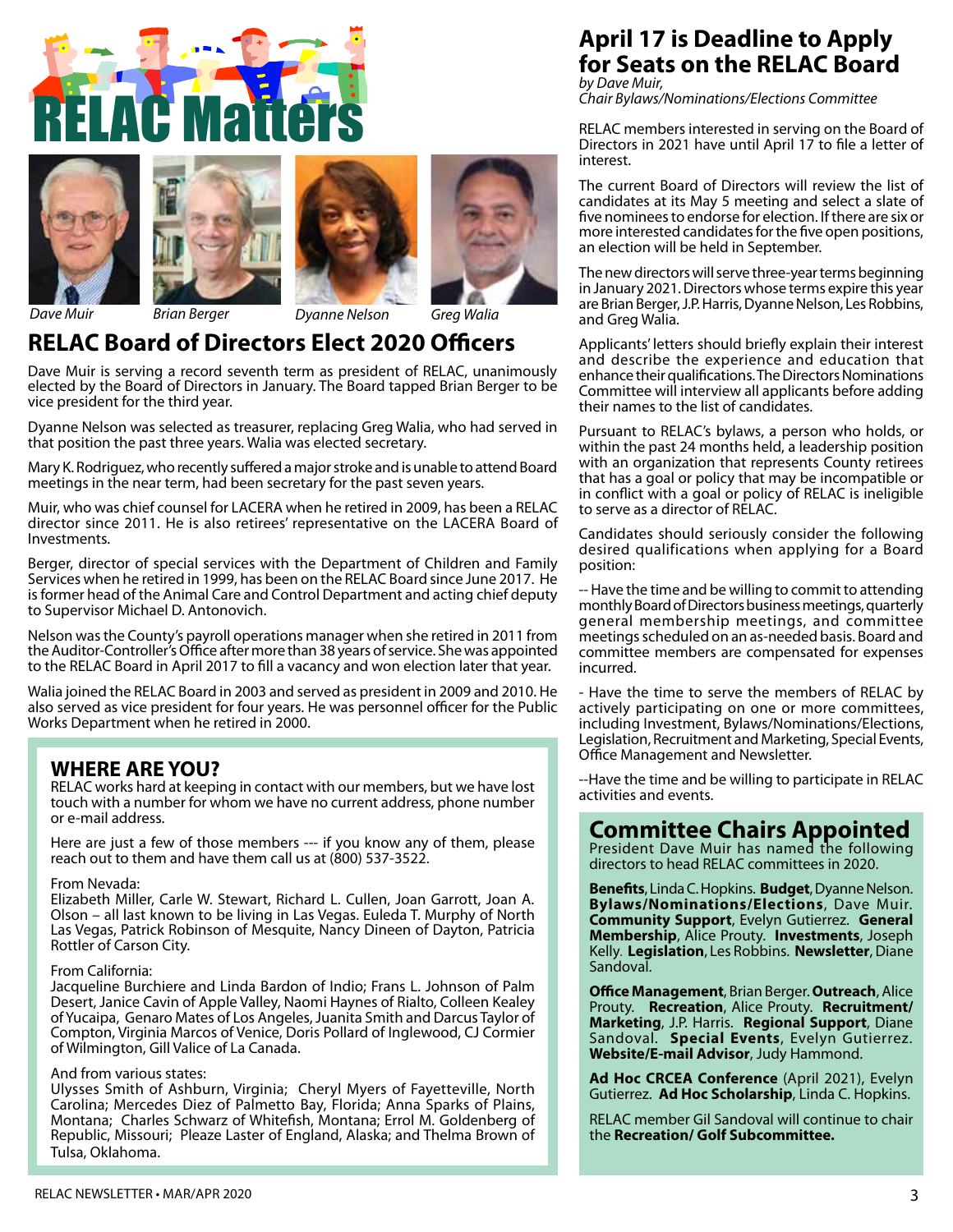









### *Dave Muir Brian Berger Dyanne Nelson Greg Walia*

# **RELAC Board of Directors Elect 2020 Officers**

Dave Muir is serving a record seventh term as president of RELAC, unanimously elected by the Board of Directors in January. The Board tapped Brian Berger to be vice president for the third year.

Dyanne Nelson was selected as treasurer, replacing Greg Walia, who had served in that position the past three years. Walia was elected secretary.

Mary K. Rodriguez, who recently suffered a major stroke and is unable to attend Board meetings in the near term, had been secretary for the past seven years.

Muir, who was chief counsel for LACERA when he retired in 2009, has been a RELAC director since 2011. He is also retirees' representative on the LACERA Board of Investments.

Berger, director of special services with the Department of Children and Family Services when he retired in 1999, has been on the RELAC Board since June 2017. He is former head of the Animal Care and Control Department and acting chief deputy to Supervisor Michael D. Antonovich.

Nelson was the County's payroll operations manager when she retired in 2011 from the Auditor-Controller's Office after more than 38 years of service. She was appointed to the RELAC Board in April 2017 to fill a vacancy and won election later that year.

Walia joined the RELAC Board in 2003 and served as president in 2009 and 2010. He also served as vice president for four years. He was personnel officer for the Public Works Department when he retired in 2000.

### **WHERE ARE YOU?**

RELAC works hard at keeping in contact with our members, but we have lost touch with a number for whom we have no current address, phone number or e-mail address.

Here are just a few of those members --- if you know any of them, please reach out to them and have them call us at (800) 537-3522.

#### From Nevada:

Elizabeth Miller, Carle W. Stewart, Richard L. Cullen, Joan Garrott, Joan A. Olson – all last known to be living in Las Vegas. Euleda T. Murphy of North Las Vegas, Patrick Robinson of Mesquite, Nancy Dineen of Dayton, Patricia Rottler of Carson City.

#### From California:

Jacqueline Burchiere and Linda Bardon of Indio; Frans L. Johnson of Palm Desert, Janice Cavin of Apple Valley, Naomi Haynes of Rialto, Colleen Kealey of Yucaipa, Genaro Mates of Los Angeles, Juanita Smith and Darcus Taylor of Compton, Virginia Marcos of Venice, Doris Pollard of Inglewood, CJ Cormier of Wilmington, Gill Valice of La Canada.

#### And from various states:

Ulysses Smith of Ashburn, Virginia; Cheryl Myers of Fayetteville, North Carolina; Mercedes Diez of Palmetto Bay, Florida; Anna Sparks of Plains, Montana; Charles Schwarz of Whitefish, Montana; Errol M. Goldenberg of Republic, Missouri; Pleaze Laster of England, Alaska; and Thelma Brown of Tulsa, Oklahoma.

### **April 17 is Deadline to Apply for Seats on the RELAC Board** *by Dave Muir,*

*Chair Bylaws/Nominations/Elections Committee*

RELAC members interested in serving on the Board of Directors in 2021 have until April 17 to file a letter of interest.

The current Board of Directors will review the list of candidates at its May 5 meeting and select a slate of five nominees to endorse for election. If there are six or more interested candidates for the five open positions, an election will be held in September.

The new directors will serve three-year terms beginning in January 2021. Directors whose terms expire this year are Brian Berger, J.P. Harris, Dyanne Nelson, Les Robbins, and Greg Walia.

Applicants' letters should briefly explain their interest and describe the experience and education that enhance their qualifications. The Directors Nominations Committee will interview all applicants before adding their names to the list of candidates.

Pursuant to RELAC's bylaws, a person who holds, or within the past 24 months held, a leadership position with an organization that represents County retirees that has a goal or policy that may be incompatible or in conflict with a goal or policy of RELAC is ineligible to serve as a director of RELAC.

Candidates should seriously consider the following desired qualifications when applying for a Board position:

-- Have the time and be willing to commit to attending monthly Board of Directors business meetings, quarterly general membership meetings, and committee meetings scheduled on an as-needed basis. Board and committee members are compensated for expenses incurred.

- Have the time to serve the members of RELAC by actively participating on one or more committees, including Investment, Bylaws/Nominations/Elections, Legislation, Recruitment and Marketing, Special Events, Office Management and Newsletter.

--Have the time and be willing to participate in RELAC activities and events.

# **Committee Chairs Appointed**

President Dave Muir has named the following directors to head RELAC committees in 2020.

**Benefits**, Linda C. Hopkins. **Budget**, Dyanne Nelson. **Bylaws/Nominations/Elections**, Dave Muir. **Community Support**, Evelyn Gutierrez. **General Membership**, Alice Prouty. **Investments**, Joseph Kelly. **Legislation**, Les Robbins. **Newsletter**, Diane Sandoval.

**Office Management**, Brian Berger. **Outreach**, Alice Prouty. **Recreation**, Alice Prouty. **Recruitment/ Marketing**, J.P. Harris. **Regional Support**, Diane Sandoval. **Special Events**, Evelyn Gutierrez. **Website/E-mail Advisor**, Judy Hammond.

**Ad Hoc CRCEA Conference** (April 2021), Evelyn Gutierrez. **Ad Hoc Scholarship**, Linda C. Hopkins.

RELAC member Gil Sandoval will continue to chair the **Recreation/ Golf Subcommittee.**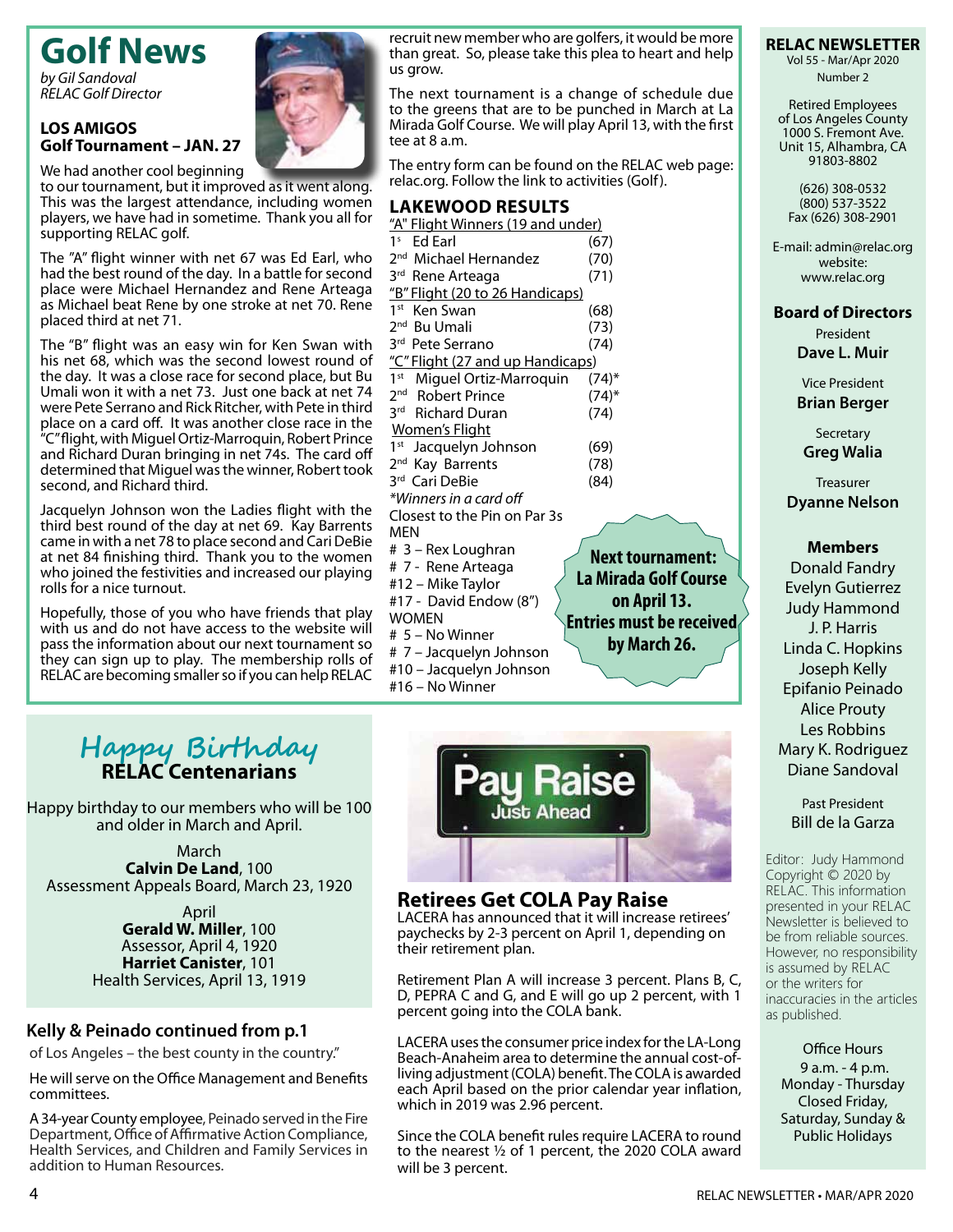# **Golf News**

*by Gil Sandoval RELAC Golf Director*

#### **LOS AMIGOS Golf Tournament – JAN. 27**

supporting RELAC golf.

We had another cool beginning to our tournament, but it improved as it went along. This was the largest attendance, including women players, we have had in sometime. Thank you all for

The "A" flight winner with net 67 was Ed Earl, who had the best round of the day. In a battle for second place were Michael Hernandez and Rene Arteaga as Michael beat Rene by one stroke at net 70. Rene placed third at net 71.

The "B" flight was an easy win for Ken Swan with his net 68, which was the second lowest round of the day. It was a close race for second place, but Bu Umali won it with a net 73. Just one back at net 74 were Pete Serrano and Rick Ritcher, with Pete in third place on a card off. It was another close race in the "C" flight, with Miguel Ortiz-Marroquin, Robert Prince and Richard Duran bringing in net 74s. The card off determined that Miguel was the winner, Robert took second, and Richard third.

Jacquelyn Johnson won the Ladies flight with the third best round of the day at net 69. Kay Barrents came in with a net 78 to place second and Cari DeBie at net 84 finishing third. Thank you to the women who joined the festivities and increased our playing rolls for a nice turnout.

Hopefully, those of you who have friends that play with us and do not have access to the website will pass the information about our next tournament so they can sign up to play. The membership rolls of RELAC are becoming smaller so if you can help RELAC



recruit new member who are golfers, it would be more than great. So, please take this plea to heart and help us grow.

The next tournament is a change of schedule due to the greens that are to be punched in March at La Mirada Golf Course. We will play April 13, with the first tee at 8 a.m.

The entry form can be found on the RELAC web page: relac.org. Follow the link to activities (Golf).

#### **Lakewood Results**

| "A" Flight Winners (19 and under) |            |
|-----------------------------------|------------|
| 1 <sup>s</sup> Ed Earl            | (67)       |
| 2 <sup>nd</sup> Michael Hernandez | (70)       |
| 3 <sup>rd</sup> Rene Arteaga      | (71)       |
| "B" Flight (20 to 26 Handicaps)   |            |
| 1 <sup>st</sup><br>Ken Swan       | (68)       |
| 2 <sup>nd</sup> Bu Umali          | (73)       |
| 3rd Pete Serrano                  | (74)       |
| "C" Flight (27 and up Handicaps)  |            |
| 1st Miguel Ortiz-Marroquin        | (74)*      |
| 2 <sup>nd</sup> Robert Prince     | $(74)^{*}$ |
| 3rd Richard Duran                 | (74)       |
| <b>Women's Flight</b>             |            |
| 1 <sup>st</sup> Jacquelyn Johnson | (69)       |
| 2 <sup>nd</sup> Kay Barrents      | (78)       |
| 3rd Cari DeBie                    | (84)       |
| *Winners in a card off            |            |
| Closest to the Pin on Par 3s      |            |
| MEN                               |            |
| # 3 – Rex Loughran                |            |
| # 7 - Rene Arteaga                |            |

#12 – Mike Taylor #17 - David Endow (8")

# 5 – No Winner

#16 – No Winner

# 7 – Jacquelyn Johnson #10 – Jacquelyn Johnson

WOMEN

 **tournament: La Mirada Golf Course on April 13. Entries must be received by March 26.**



#### **Retirees Get COLA Pay Raise**

LACERA has announced that it will increase retirees' paychecks by 2-3 percent on April 1, depending on their retirement plan.

Retirement Plan A will increase 3 percent. Plans B, C, D, PEPRA C and G, and E will go up 2 percent, with 1 percent going into the COLA bank.

LACERA uses the consumer price index for the LA-Long Beach-Anaheim area to determine the annual cost-ofliving adjustment (COLA) benefit. The COLA is awarded each April based on the prior calendar year inflation, which in 2019 was 2.96 percent.

Since the COLA benefit rules require LACERA to round to the nearest ½ of 1 percent, the 2020 COLA award will be 3 percent.

#### **RELAC NEWSLETTER**

Vol 55 - Mar/Apr 2020 Number 2

Retired Employees of Los Angeles County 1000 S. Fremont Ave. Unit 15, Alhambra, CA 91803-8802

(626) 308-0532 (800) 537-3522 Fax (626) 308-2901

E-mail: admin@relac.org website: www.relac.org

### **Board of Directors**

President **Dave L. Muir**

Vice President **Brian Berger**

**Secretary Greg Walia**

**Treasurer Dyanne Nelson**

#### **Members**

Donald Fandry Evelyn Gutierrez Judy Hammond J. P. Harris Linda C. Hopkins Joseph Kelly Epifanio Peinado Alice Prouty Les Robbins Mary K. Rodriguez Diane Sandoval

#### Past President Bill de la Garza

Editor: Judy Hammond Copyright © 2020 by RELAC. This information presented in your RELAC Newsletter is believed to be from reliable sources. However, no responsibility is assumed by RELAC or the writers for inaccuracies in the articles as published.

Office Hours 9 a.m. - 4 p.m. Monday - Thursday Closed Friday, Saturday, Sunday & Public Holidays

# **Happy Birthday RELAC Centenarians**

Happy birthday to our members who will be 100 and older in March and April.

March **Calvin De Land**, 100 Assessment Appeals Board, March 23, 1920

> April **Gerald W. Miller**, 100 Assessor, April 4, 1920 **Harriet Canister**, 101 Health Services, April 13, 1919

# **Kelly & Peinado continued from p.1**

of Los Angeles – the best county in the country."

He will serve on the Office Management and Benefits committees.

A 34-year County employee, Peinado served in the Fire Department, Office of Affirmative Action Compliance, Health Services, and Children and Family Services in addition to Human Resources.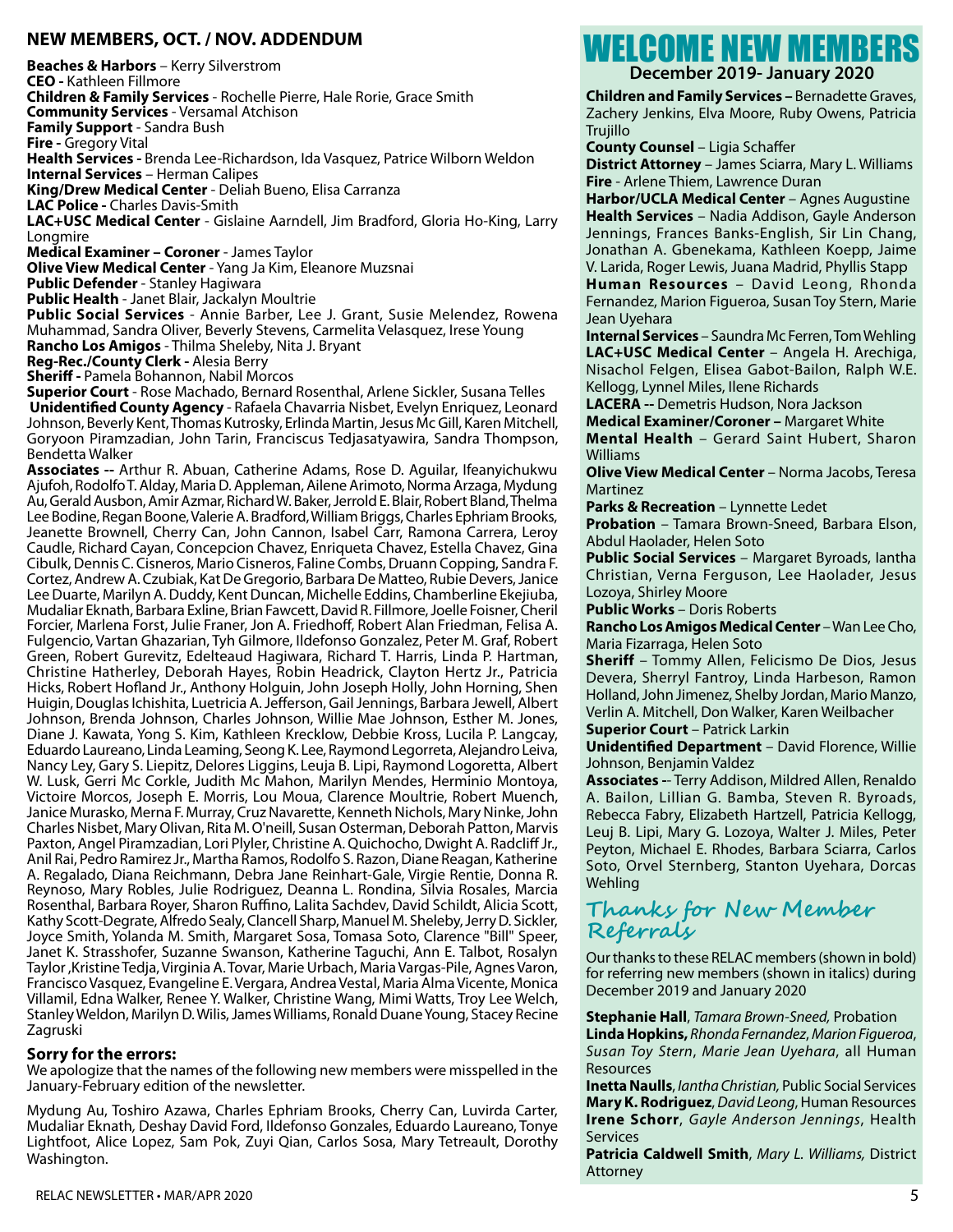#### **NEW MEMBERS, OCT. / NOV. ADDENDUM**

**Beaches & Harbors** – Kerry Silverstrom **CEO -** Kathleen Fillmore **Children & Family Services** - Rochelle Pierre, Hale Rorie, Grace Smith **Community Services** - Versamal Atchison **Family Support** - Sandra Bush **Fire -** Gregory Vital **Health Services -** Brenda Lee-Richardson, Ida Vasquez, Patrice Wilborn Weldon **Internal Services** – Herman Calipes **King/Drew Medical Center** - Deliah Bueno, Elisa Carranza **LAC Police -** Charles Davis-Smith **LAC+USC Medical Center** - Gislaine Aarndell, Jim Bradford, Gloria Ho-King, Larry Longmire **Medical Examiner – Coroner** - James Taylor

**Olive View Medical Center** - Yang Ja Kim, Eleanore Muzsnai

**Public Defender** - Stanley Hagiwara

**Public Health** - Janet Blair, Jackalyn Moultrie

**Public Social Services** - Annie Barber, Lee J. Grant, Susie Melendez, Rowena Muhammad, Sandra Oliver, Beverly Stevens, Carmelita Velasquez, Irese Young **Rancho Los Amigos** - Thilma Sheleby, Nita J. Bryant

**Reg-Rec./County Clerk -** Alesia Berry

**Sheriff -** Pamela Bohannon, Nabil Morcos

**Superior Court** - Rose Machado, Bernard Rosenthal, Arlene Sickler, Susana Telles **Unidentified County Agency** - Rafaela Chavarria Nisbet, Evelyn Enriquez, Leonard Johnson, Beverly Kent, Thomas Kutrosky, Erlinda Martin, Jesus Mc Gill, Karen Mitchell, Goryoon Piramzadian, John Tarin, Franciscus Tedjasatyawira, Sandra Thompson, Bendetta Walker

**Associates --** Arthur R. Abuan, Catherine Adams, Rose D. Aguilar, Ifeanyichukwu Ajufoh, Rodolfo T. Alday, Maria D. Appleman, Ailene Arimoto, Norma Arzaga, Mydung Au, Gerald Ausbon, Amir Azmar, Richard W. Baker, Jerrold E. Blair, Robert Bland, Thelma Lee Bodine, Regan Boone, Valerie A. Bradford, William Briggs, Charles Ephriam Brooks, Jeanette Brownell, Cherry Can, John Cannon, Isabel Carr, Ramona Carrera, Leroy Caudle, Richard Cayan, Concepcion Chavez, Enriqueta Chavez, Estella Chavez, Gina Cibulk, Dennis C. Cisneros, Mario Cisneros, Faline Combs, Druann Copping, Sandra F. Cortez, Andrew A. Czubiak, Kat De Gregorio, Barbara De Matteo, Rubie Devers, Janice Lee Duarte, Marilyn A. Duddy, Kent Duncan, Michelle Eddins, Chamberline Ekejiuba, Mudaliar Eknath, Barbara Exline, Brian Fawcett, David R. Fillmore, Joelle Foisner, Cheril Forcier, Marlena Forst, Julie Franer, Jon A. Friedhoff, Robert Alan Friedman, Felisa A. Fulgencio, Vartan Ghazarian, Tyh Gilmore, Ildefonso Gonzalez, Peter M. Graf, Robert Green, Robert Gurevitz, Edelteaud Hagiwara, Richard T. Harris, Linda P. Hartman, Christine Hatherley, Deborah Hayes, Robin Headrick, Clayton Hertz Jr., Patricia Hicks, Robert Hofland Jr., Anthony Holguin, John Joseph Holly, John Horning, Shen Huigin, Douglas Ichishita, Luetricia A. Jefferson, Gail Jennings, Barbara Jewell, Albert Johnson, Brenda Johnson, Charles Johnson, Willie Mae Johnson, Esther M. Jones, Diane J. Kawata, Yong S. Kim, Kathleen Krecklow, Debbie Kross, Lucila P. Langcay, Eduardo Laureano, Linda Leaming, Seong K. Lee, Raymond Legorreta, Alejandro Leiva, Nancy Ley, Gary S. Liepitz, Delores Liggins, Leuja B. Lipi, Raymond Logoretta, Albert W. Lusk, Gerri Mc Corkle, Judith Mc Mahon, Marilyn Mendes, Herminio Montoya, Victoire Morcos, Joseph E. Morris, Lou Moua, Clarence Moultrie, Robert Muench, Janice Murasko, Merna F. Murray, Cruz Navarette, Kenneth Nichols, Mary Ninke, John Charles Nisbet, Mary Olivan, Rita M. O'neill, Susan Osterman, Deborah Patton, Marvis Paxton, Angel Piramzadian, Lori Plyler, Christine A. Quichocho, Dwight A. Radcliff Jr., Anil Rai, Pedro Ramirez Jr., Martha Ramos, Rodolfo S. Razon, Diane Reagan, Katherine A. Regalado, Diana Reichmann, Debra Jane Reinhart-Gale, Virgie Rentie, Donna R. Reynoso, Mary Robles, Julie Rodriguez, Deanna L. Rondina, Silvia Rosales, Marcia Rosenthal, Barbara Royer, Sharon Ruffino, Lalita Sachdev, David Schildt, Alicia Scott, Kathy Scott-Degrate, Alfredo Sealy, Clancell Sharp, Manuel M. Sheleby, Jerry D. Sickler, Joyce Smith, Yolanda M. Smith, Margaret Sosa, Tomasa Soto, Clarence "Bill" Speer, Janet K. Strasshofer, Suzanne Swanson, Katherine Taguchi, Ann E. Talbot, Rosalyn Taylor ,Kristine Tedja, Virginia A. Tovar, Marie Urbach, Maria Vargas-Pile, Agnes Varon, Francisco Vasquez, Evangeline E. Vergara, Andrea Vestal, Maria Alma Vicente, Monica Villamil, Edna Walker, Renee Y. Walker, Christine Wang, Mimi Watts, Troy Lee Welch, Stanley Weldon, Marilyn D. Wilis, James Williams, Ronald Duane Young, Stacey Recine Zagruski

#### **Sorry for the errors:**

We apologize that the names of the following new members were misspelled in the January-February edition of the newsletter.

Mydung Au, Toshiro Azawa, Charles Ephriam Brooks, Cherry Can, Luvirda Carter, Mudaliar Eknath*,* Deshay David Ford, Ildefonso Gonzales, Eduardo Laureano, Tonye Lightfoot, Alice Lopez, Sam Pok, Zuyi Qian, Carlos Sosa, Mary Tetreault, Dorothy Washington.

# WELCOME NEW MEMBERS

**December 2019- January 2020**

**Children and Family Services –** Bernadette Graves, Zachery Jenkins, Elva Moore, Ruby Owens, Patricia Trujillo

**County Counsel** – Ligia Schaffer

**District Attorney** – James Sciarra, Mary L. Williams **Fire** - Arlene Thiem, Lawrence Duran

**Harbor/UCLA Medical Center** – Agnes Augustine **Health Services** – Nadia Addison, Gayle Anderson Jennings, Frances Banks-English, Sir Lin Chang, Jonathan A. Gbenekama, Kathleen Koepp, Jaime V. Larida, Roger Lewis, Juana Madrid, Phyllis Stapp **Human Resources** – David Leong, Rhonda Fernandez, Marion Figueroa, Susan Toy Stern, Marie Jean Uyehara

**Internal Services** – Saundra Mc Ferren, Tom Wehling **LAC+USC Medical Center** – Angela H. Arechiga, Nisachol Felgen, Elisea Gabot-Bailon, Ralph W.E. Kellogg, Lynnel Miles, Ilene Richards

**LACERA --** Demetris Hudson, Nora Jackson

**Medical Examiner/Coroner –** Margaret White **Mental Health** – Gerard Saint Hubert, Sharon Williams

**Olive View Medical Center** – Norma Jacobs, Teresa Martinez

**Parks & Recreation** – Lynnette Ledet

**Probation** – Tamara Brown-Sneed, Barbara Elson, Abdul Haolader, Helen Soto

**Public Social Services** – Margaret Byroads, Iantha Christian, Verna Ferguson, Lee Haolader, Jesus Lozoya, Shirley Moore

**Public Works** – Doris Roberts

**Rancho Los Amigos Medical Center** – Wan Lee Cho, Maria Fizarraga, Helen Soto

**Sheriff** – Tommy Allen, Felicismo De Dios, Jesus Devera, Sherryl Fantroy, Linda Harbeson, Ramon Holland, John Jimenez, Shelby Jordan, Mario Manzo, Verlin A. Mitchell, Don Walker, Karen Weilbacher

**Superior Court** – Patrick Larkin

**Unidentified Department** – David Florence, Willie Johnson, Benjamin Valdez

**Associates -**- Terry Addison, Mildred Allen, Renaldo A. Bailon, Lillian G. Bamba, Steven R. Byroads, Rebecca Fabry, Elizabeth Hartzell, Patricia Kellogg, Leuj B. Lipi, Mary G. Lozoya, Walter J. Miles, Peter Peyton, Michael E. Rhodes, Barbara Sciarra, Carlos Soto, Orvel Sternberg, Stanton Uyehara, Dorcas **Wehling** 

### **Thanks for New Member Referrals**

Our thanks to these RELAC members (shown in bold) for referring new members (shown in italics) during December 2019 and January 2020

**Stephanie Hall**, *Tamara Brown-Sneed,* Probation **Linda Hopkins,** *Rhonda Fernandez*, *Marion Figueroa*, *Susan Toy Stern*, *Marie Jean Uyehara*, all Human Resources

**Inetta Naulls**, *Iantha Christian,* Public Social Services **Mary K. Rodriguez**, *David Leong*, Human Resources **Irene Schorr**, *Gayle Anderson Jennings*, Health Services

**Patricia Caldwell Smith**, *Mary L. Williams,* District Attorney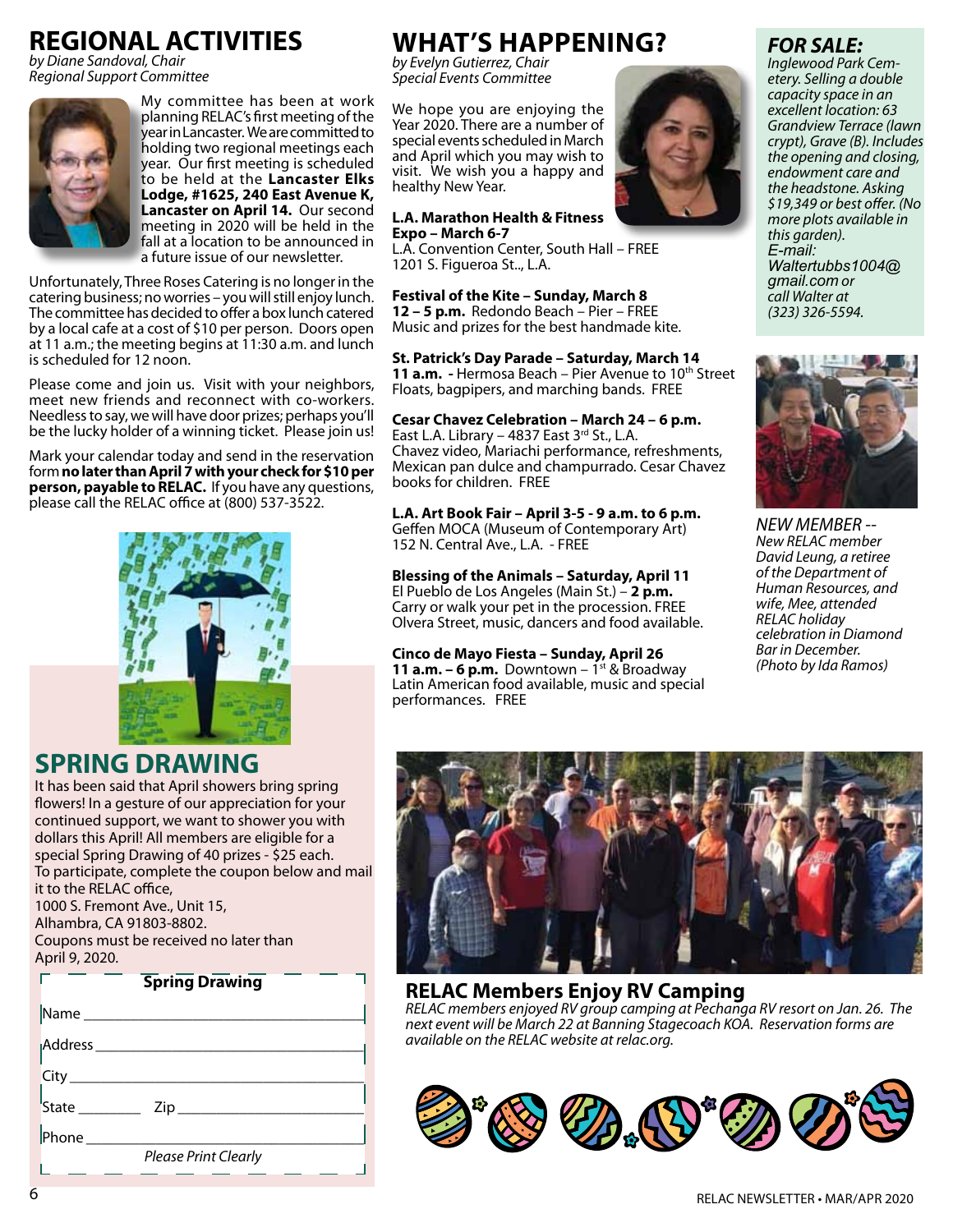# **REGIONAL ACTIVITIES**

*by Diane Sandoval, Chair Regional Support Committee*



My committee has been at work planning RELAC's first meeting of the year in Lancaster. We are committed to holding two regional meetings each year. Our first meeting is scheduled to be held at the **Lancaster Elks Lodge, #1625, 240 East Avenue K, Lancaster on April 14.** Our second meeting in 2020 will be held in the fall at a location to be announced in a future issue of our newsletter.

Unfortunately, Three Roses Catering is no longer in the catering business; no worries – you will still enjoy lunch. The committee has decided to offer a box lunch catered by a local cafe at a cost of \$10 per person. Doors open at 11 a.m.; the meeting begins at 11:30 a.m. and lunch is scheduled for 12 noon.

Please come and join us. Visit with your neighbors, meet new friends and reconnect with co-workers. Needless to say, we will have door prizes; perhaps you'll be the lucky holder of a winning ticket. Please join us!

Mark your calendar today and send in the reservation form **no later than April 7 with your check for \$10 per person, payable to RELAC.** If you have any questions, please call the RELAC office at (800) 537-3522.



# **SPRING DRAWING**

It has been said that April showers bring spring flowers! In a gesture of our appreciation for your continued support, we want to shower you with dollars this April! All members are eligible for a special Spring Drawing of 40 prizes - \$25 each. To participate, complete the coupon below and mail it to the RELAC office, 1000 S. Fremont Ave., Unit 15, Alhambra, CA 91803-8802. Coupons must be received no later than April 9, 2020.

#### **Spring Drawing**

| Name ________                                      |
|----------------------------------------------------|
| Address <sub>______</sub>                          |
| $\left\vert \mathsf{City}\right\vert$              |
| $\begin{array}{c} \n\sqrt{\phantom{a}}\end{array}$ |
|                                                    |
| Phone<br><b>Please Print Clearly</b>               |
|                                                    |

# **What's Happening?**

*by Evelyn Gutierrez, Chair Special Events Committee*

We hope you are enjoying the Year 2020. There are a number of special events scheduled in March and April which you may wish to visit. We wish you a happy and healthy New Year.

#### **L.A. Marathon Health & Fitness Expo – March 6-7**

L.A. Convention Center, South Hall – FREE 1201 S. Figueroa St.., L.A.

## **Festival of the Kite – Sunday, March 8**

**12 – 5 p.m.** Redondo Beach – Pier – FREE Music and prizes for the best handmade kite.

#### **St. Patrick's Day Parade – Saturday, March 14**

**11 a.m.** - Hermosa Beach – Pier Avenue to 10<sup>th</sup> Street Floats, bagpipers, and marching bands. FREE

#### **Cesar Chavez Celebration – March 24 – 6 p.m.**

East L.A. Library – 4837 East  $3^{rd}$  St., L.A. Chavez video, Mariachi performance, refreshments, Mexican pan dulce and champurrado. Cesar Chavez books for children. FREE

**L.A. Art Book Fair – April 3-5 - 9 a.m. to 6 p.m.**  Geffen MOCA (Museum of Contemporary Art) 152 N. Central Ave., L.A. - FREE

#### **Blessing of the Animals – Saturday, April 11**  El Pueblo de Los Angeles (Main St.) – **2 p.m.** Carry or walk your pet in the procession. FREE Olvera Street, music, dancers and food available.

**Cinco de Mayo Fiesta – Sunday, April 26 11 a.m. – 6 p.m.** Downtown –  $1^{st}$  & Broadway Latin American food available, music and special performances. FREE

# **FOR SAL**

*Inglewood Park Cemetery. Selling a double capacity space in an excellent location: 63 Grandview Terrace (lawn crypt), Grave (B). Includes the opening and closing, endowment care and the headstone. Asking \$19,349 or best offer. (No more plots available in this garden). E-mail: Waltertubbs1004@ gmail.com or call Walter at (323) 326-5594.*



*NEW MEMBER -- New RELAC member David Leung, a retiree of the Department of Human Resources, and wife, Mee, attended RELAC holiday celebration in Diamond Bar in December. (Photo by Ida Ramos)*



### **RELAC Members Enjoy RV Camping**

*RELAC members enjoyed RV group camping at Pechanga RV resort on Jan. 26. The next event will be March 22 at Banning Stagecoach KOA. Reservation forms are available on the RELAC website at relac.org.* 



Г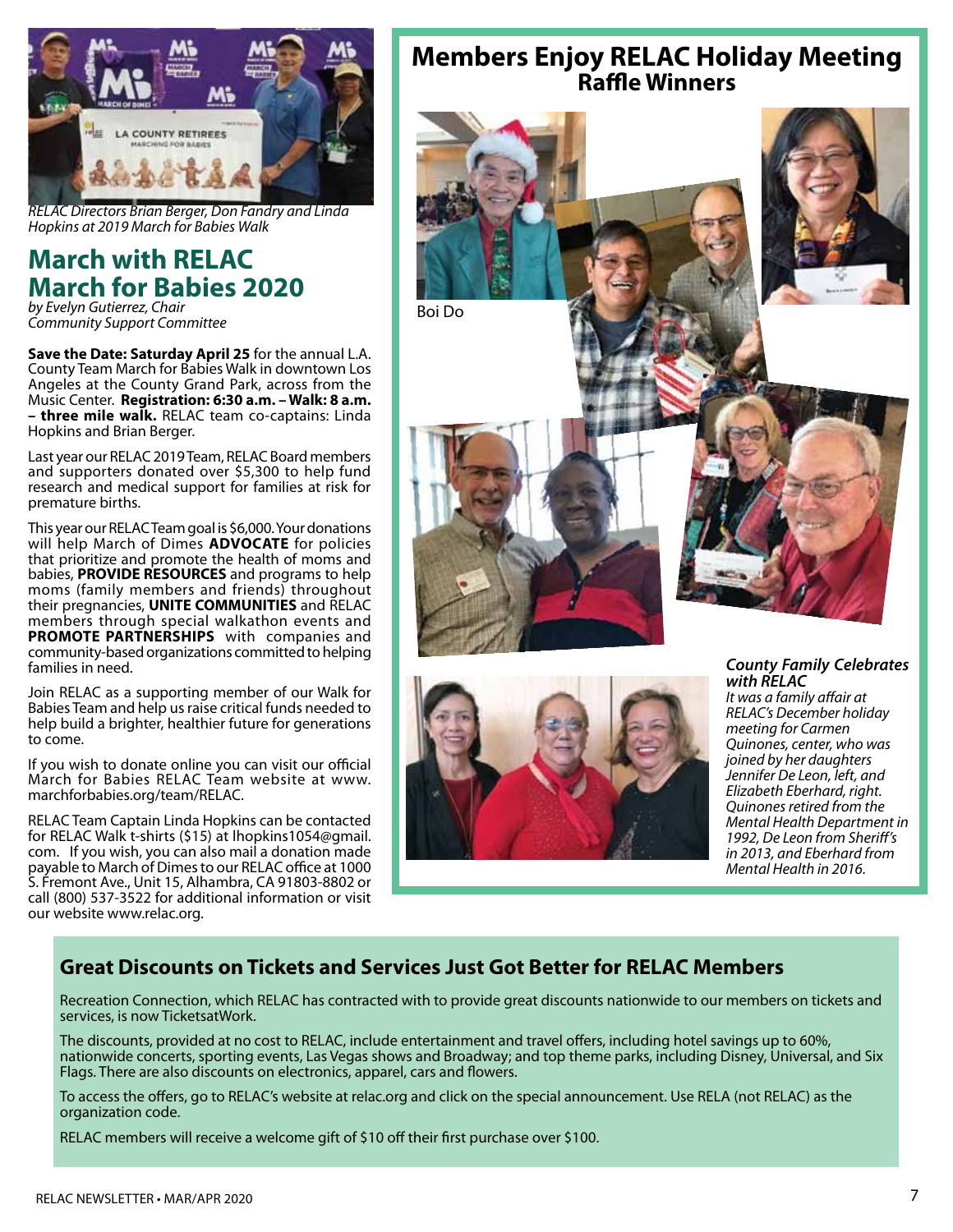

*RELAC Directors Brian Berger, Don Fandry and Linda Hopkins at 2019 March for Babies Walk*

### **March with RELAC March for Babies 2020** *by Evelyn Gutierrez, Chair*

*Community Support Committee*

**Save the Date: Saturday April 25** for the annual L.A. County Team March for Babies Walk in downtown Los Angeles at the County Grand Park, across from the Music Center. **Registration: 6:30 a.m. – Walk: 8 a.m. – three mile walk.** RELAC team co-captains: Linda Hopkins and Brian Berger.

Last year our RELAC 2019 Team, RELAC Board members and supporters donated over \$5,300 to help fund research and medical support for families at risk for premature births.

This year our RELAC Team goal is \$6,000. Your donations will help March of Dimes **ADVOCATE** for policies that prioritize and promote the health of moms and babies, **PROVIDE RESOURCES** and programs to help moms (family members and friends) throughout their pregnancies, **UNITE COMMUNITIES** and RELAC members through special walkathon events and **PROMOTE PARTNERSHIPS** with companies and community-based organizations committed to helping families in need.

Join RELAC as a supporting member of our Walk for Babies Team and help us raise critical funds needed to help build a brighter, healthier future for generations to come.

If you wish to donate online you can visit our official March for Babies RELAC Team website at www. marchforbabies.org/team/RELAC.

RELAC Team Captain Linda Hopkins can be contacted for RELAC Walk t-shirts (\$15) at lhopkins1054@gmail. com. If you wish, you can also mail a donation made payable to March of Dimes to our RELAC office at 1000 S. Fremont Ave., Unit 15, Alhambra, CA 91803-8802 or call (800) 537-3522 for additional information or visit our website www.relac.org.

# **Members Enjoy RELAC Holiday Meeting Raffle Winners**





#### *County Family Celebrates with RELAC*

*It was a family affair at RELAC's December holiday meeting for Carmen Quinones, center, who was joined by her daughters Jennifer De Leon, left, and Elizabeth Eberhard, right. Quinones retired from the Mental Health Department in 1992, De Leon from Sheriff's in 2013, and Eberhard from Mental Health in 2016.*

# **Great Discounts on Tickets and Services Just Got Better for RELAC Members**

Recreation Connection, which RELAC has contracted with to provide great discounts nationwide to our members on tickets and services, is now TicketsatWork.

The discounts, provided at no cost to RELAC, include entertainment and travel offers, including hotel savings up to 60%, nationwide concerts, sporting events, Las Vegas shows and Broadway; and top theme parks, including Disney, Universal, and Six Flags. There are also discounts on electronics, apparel, cars and flowers.

To access the offers, go to RELAC's website at relac.org and click on the special announcement. Use RELA (not RELAC) as the organization code.

RELAC members will receive a welcome gift of \$10 off their first purchase over \$100.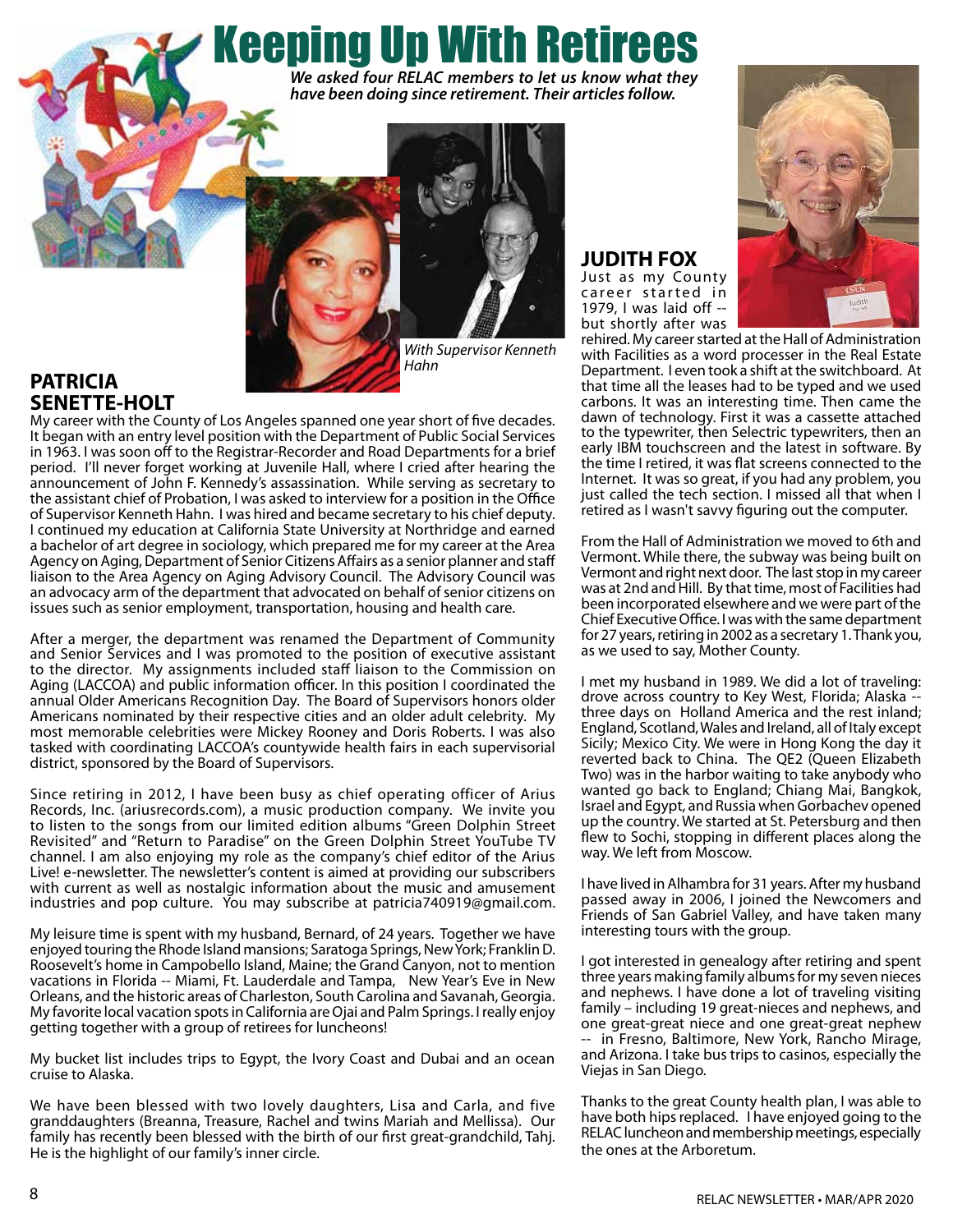Keeping Up With Retirees *We asked four RELAC members to let us know what they have been doing since retirement. Their articles follow.*



*Hahn*

### **PATRICIA SENETTE-HOLT**

My career with the County of Los Angeles spanned one year short of five decades. It began with an entry level position with the Department of Public Social Services in 1963. I was soon off to the Registrar-Recorder and Road Departments for a brief period. I'll never forget working at Juvenile Hall, where I cried after hearing the announcement of John F. Kennedy's assassination. While serving as secretary to the assistant chief of Probation, I was asked to interview for a position in the Office of Supervisor Kenneth Hahn. I was hired and became secretary to his chief deputy. I continued my education at California State University at Northridge and earned a bachelor of art degree in sociology, which prepared me for my career at the Area Agency on Aging, Department of Senior Citizens Affairs as a senior planner and staff liaison to the Area Agency on Aging Advisory Council. The Advisory Council was an advocacy arm of the department that advocated on behalf of senior citizens on issues such as senior employment, transportation, housing and health care.

After a merger, the department was renamed the Department of Community and Senior Services and I was promoted to the position of executive assistant to the director. My assignments included staff liaison to the Commission on Aging (LACCOA) and public information officer. In this position I coordinated the annual Older Americans Recognition Day. The Board of Supervisors honors older Americans nominated by their respective cities and an older adult celebrity. My most memorable celebrities were Mickey Rooney and Doris Roberts. I was also tasked with coordinating LACCOA's countywide health fairs in each supervisorial district, sponsored by the Board of Supervisors.

Since retiring in 2012, I have been busy as chief operating officer of Arius Records, Inc. (ariusrecords.com), a music production company. We invite you to listen to the songs from our limited edition albums "Green Dolphin Street Revisited" and "Return to Paradise" on the Green Dolphin Street YouTube TV channel. I am also enjoying my role as the company's chief editor of the Arius Live! e-newsletter. The newsletter's content is aimed at providing our subscribers with current as well as nostalgic information about the music and amusement industries and pop culture. You may subscribe at patricia740919@gmail.com.

My leisure time is spent with my husband, Bernard, of 24 years. Together we have enjoyed touring the Rhode Island mansions; Saratoga Springs, New York; Franklin D. Roosevelt's home in Campobello Island, Maine; the Grand Canyon, not to mention vacations in Florida -- Miami, Ft. Lauderdale and Tampa, New Year's Eve in New Orleans, and the historic areas of Charleston, South Carolina and Savanah, Georgia. My favorite local vacation spots in California are Ojai and Palm Springs. I really enjoy getting together with a group of retirees for luncheons!

My bucket list includes trips to Egypt, the Ivory Coast and Dubai and an ocean cruise to Alaska.

We have been blessed with two lovely daughters, Lisa and Carla, and five granddaughters (Breanna, Treasure, Rachel and twins Mariah and Mellissa). Our family has recently been blessed with the birth of our first great-grandchild, Tahj. He is the highlight of our family's inner circle.

### **JUDITH FOX** Just as my County

career started in 1979, I was laid off - but shortly after was



rehired. My career started at the Hall of Administration with Facilities as a word processer in the Real Estate Department. I even took a shift at the switchboard. At that time all the leases had to be typed and we used carbons. It was an interesting time. Then came the dawn of technology. First it was a cassette attached to the typewriter, then Selectric typewriters, then an early IBM touchscreen and the latest in software. By the time I retired, it was flat screens connected to the Internet. It was so great, if you had any problem, you just called the tech section. I missed all that when I retired as I wasn't savvy figuring out the computer.

From the Hall of Administration we moved to 6th and Vermont. While there, the subway was being built on Vermont and right next door. The last stop in my career was at 2nd and Hill. By that time, most of Facilities had been incorporated elsewhere and we were part of the Chief Executive Office. I was with the same department for 27 years, retiring in 2002 as a secretary 1. Thank you, as we used to say, Mother County.

I met my husband in 1989. We did a lot of traveling: drove across country to Key West, Florida; Alaska - three days on Holland America and the rest inland; England, Scotland, Wales and Ireland, all of Italy except Sicily; Mexico City. We were in Hong Kong the day it reverted back to China. The QE2 (Queen Elizabeth Two) was in the harbor waiting to take anybody who wanted go back to England; Chiang Mai, Bangkok, Israel and Egypt, and Russia when Gorbachev opened up the country. We started at St. Petersburg and then flew to Sochi, stopping in different places along the way. We left from Moscow.

I have lived in Alhambra for 31 years. After my husband passed away in 2006, I joined the Newcomers and Friends of San Gabriel Valley, and have taken many interesting tours with the group.

I got interested in genealogy after retiring and spent three years making family albums for my seven nieces and nephews. I have done a lot of traveling visiting family – including 19 great-nieces and nephews, and one great-great niece and one great-great nephew -- in Fresno, Baltimore, New York, Rancho Mirage, and Arizona. I take bus trips to casinos, especially the Viejas in San Diego.

Thanks to the great County health plan, I was able to have both hips replaced. I have enjoyed going to the RELAC luncheon and membership meetings, especially the ones at the Arboretum.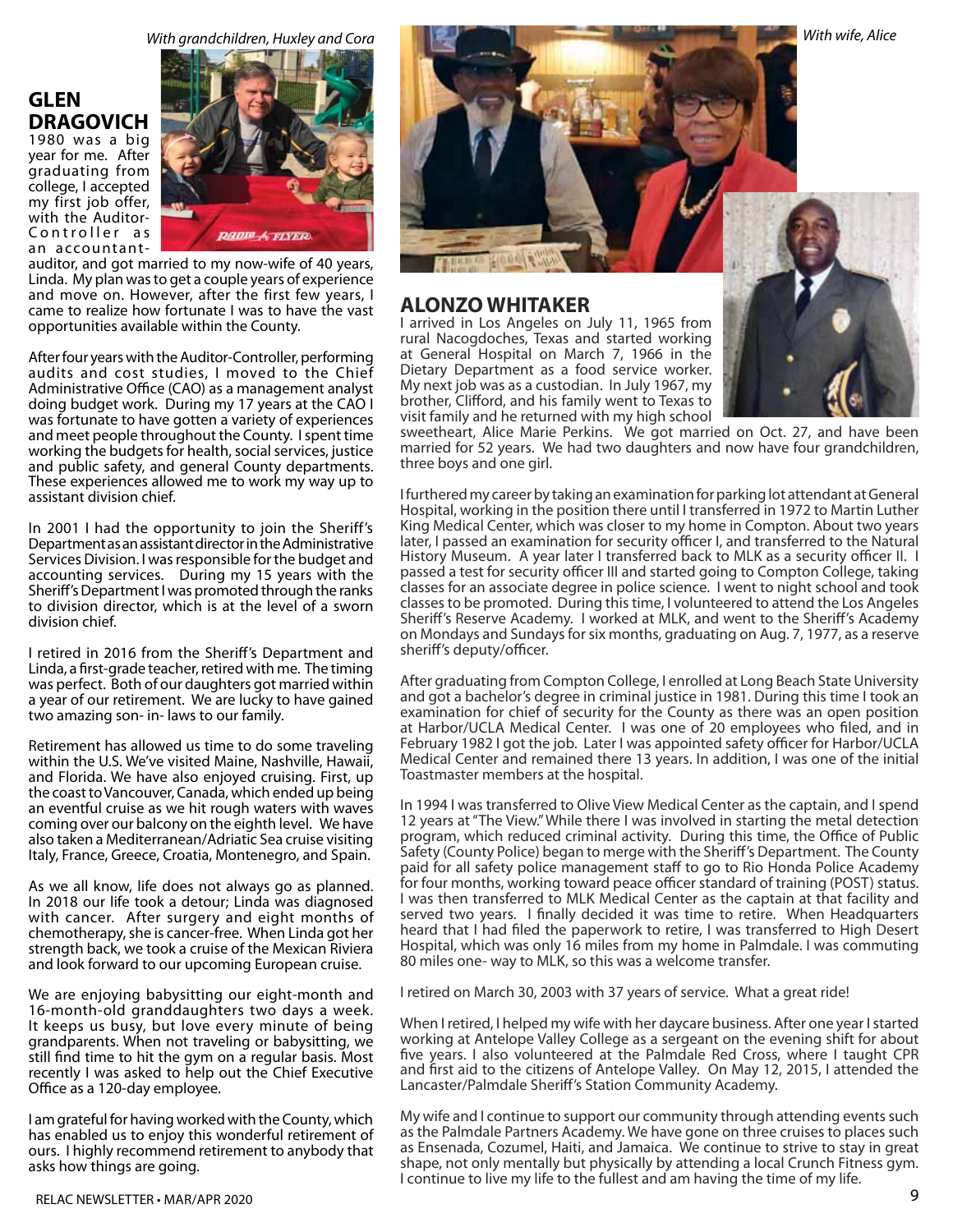# **GLEN DRAGOVICH**

1980 was a big year for me. After graduating from college, I accepted my first job offer, with the Auditor-Controller as an accountant-



auditor, and got married to my now-wife of 40 years, Linda. My plan was to get a couple years of experience and move on. However, after the first few years, I came to realize how fortunate I was to have the vast opportunities available within the County.

After four years with the Auditor-Controller, performing audits and cost studies, I moved to the Chief Administrative Office (CAO) as a management analyst doing budget work. During my 17 years at the CAO I was fortunate to have gotten a variety of experiences and meet people throughout the County. I spent time working the budgets for health, social services, justice and public safety, and general County departments. These experiences allowed me to work my way up to assistant division chief.

In 2001 I had the opportunity to join the Sheriff's Department as an assistant director in the Administrative Services Division. I was responsible for the budget and accounting services. During my 15 years with the Sheriff's Department I was promoted through the ranks to division director, which is at the level of a sworn division chief.

I retired in 2016 from the Sheriff's Department and Linda, a first-grade teacher, retired with me. The timing was perfect. Both of our daughters got married within a year of our retirement. We are lucky to have gained two amazing son- in- laws to our family.

Retirement has allowed us time to do some traveling within the U.S. We've visited Maine, Nashville, Hawaii, and Florida. We have also enjoyed cruising. First, up the coast to Vancouver, Canada, which ended up being an eventful cruise as we hit rough waters with waves coming over our balcony on the eighth level. We have also taken a Mediterranean/Adriatic Sea cruise visiting Italy, France, Greece, Croatia, Montenegro, and Spain.

As we all know, life does not always go as planned. In 2018 our life took a detour; Linda was diagnosed with cancer. After surgery and eight months of chemotherapy, she is cancer-free. When Linda got her strength back, we took a cruise of the Mexican Riviera and look forward to our upcoming European cruise.

We are enjoying babysitting our eight-month and 16-month-old granddaughters two days a week. It keeps us busy, but love every minute of being grandparents. When not traveling or babysitting, we still find time to hit the gym on a regular basis. Most recently I was asked to help out the Chief Executive Office as a 120-day employee.

I am grateful for having worked with the County, which has enabled us to enjoy this wonderful retirement of ours. I highly recommend retirement to anybody that asks how things are going.



#### **ALONZO WHITAKER**

I arrived in Los Angeles on July 11, 1965 from rural Nacogdoches, Texas and started working at General Hospital on March 7, 1966 in the Dietary Department as a food service worker. My next job was as a custodian. In July 1967, my brother, Clifford, and his family went to Texas to visit family and he returned with my high school



sweetheart, Alice Marie Perkins. We got married on Oct. 27, and have been married for 52 years. We had two daughters and now have four grandchildren, three boys and one girl.

I furthered my career by taking an examination for parking lot attendant at General Hospital, working in the position there until I transferred in 1972 to Martin Luther King Medical Center, which was closer to my home in Compton. About two years later, I passed an examination for security officer I, and transferred to the Natural History Museum. A year later I transferred back to MLK as a security officer II. I passed a test for security officer III and started going to Compton College, taking classes for an associate degree in police science. I went to night school and took classes to be promoted. During this time, I volunteered to attend the Los Angeles Sheriff's Reserve Academy. I worked at MLK, and went to the Sheriff's Academy on Mondays and Sundays for six months, graduating on Aug. 7, 1977, as a reserve sheriff's deputy/officer.

After graduating from Compton College, I enrolled at Long Beach State University and got a bachelor's degree in criminal justice in 1981. During this time I took an examination for chief of security for the County as there was an open position at Harbor/UCLA Medical Center. I was one of 20 employees who filed, and in February 1982 I got the job. Later I was appointed safety officer for Harbor/UCLA Medical Center and remained there 13 years. In addition, I was one of the initial Toastmaster members at the hospital.

In 1994 I was transferred to Olive View Medical Center as the captain, and I spend 12 years at "The View." While there I was involved in starting the metal detection program, which reduced criminal activity. During this time, the Office of Public Safety (County Police) began to merge with the Sheriff's Department. The County paid for all safety police management staff to go to Rio Honda Police Academy for four months, working toward peace officer standard of training (POST) status. I was then transferred to MLK Medical Center as the captain at that facility and served two years. I finally decided it was time to retire. When Headquarters heard that I had filed the paperwork to retire, I was transferred to High Desert Hospital, which was only 16 miles from my home in Palmdale. I was commuting 80 miles one- way to MLK, so this was a welcome transfer.

I retired on March 30, 2003 with 37 years of service. What a great ride!

When I retired, I helped my wife with her daycare business. After one year I started working at Antelope Valley College as a sergeant on the evening shift for about five years. I also volunteered at the Palmdale Red Cross, where I taught CPR and first aid to the citizens of Antelope Valley. On May 12, 2015, I attended the Lancaster/Palmdale Sheriff's Station Community Academy.

My wife and I continue to support our community through attending events such as the Palmdale Partners Academy. We have gone on three cruises to places such as Ensenada, Cozumel, Haiti, and Jamaica. We continue to strive to stay in great shape, not only mentally but physically by attending a local Crunch Fitness gym. I continue to live my life to the fullest and am having the time of my life.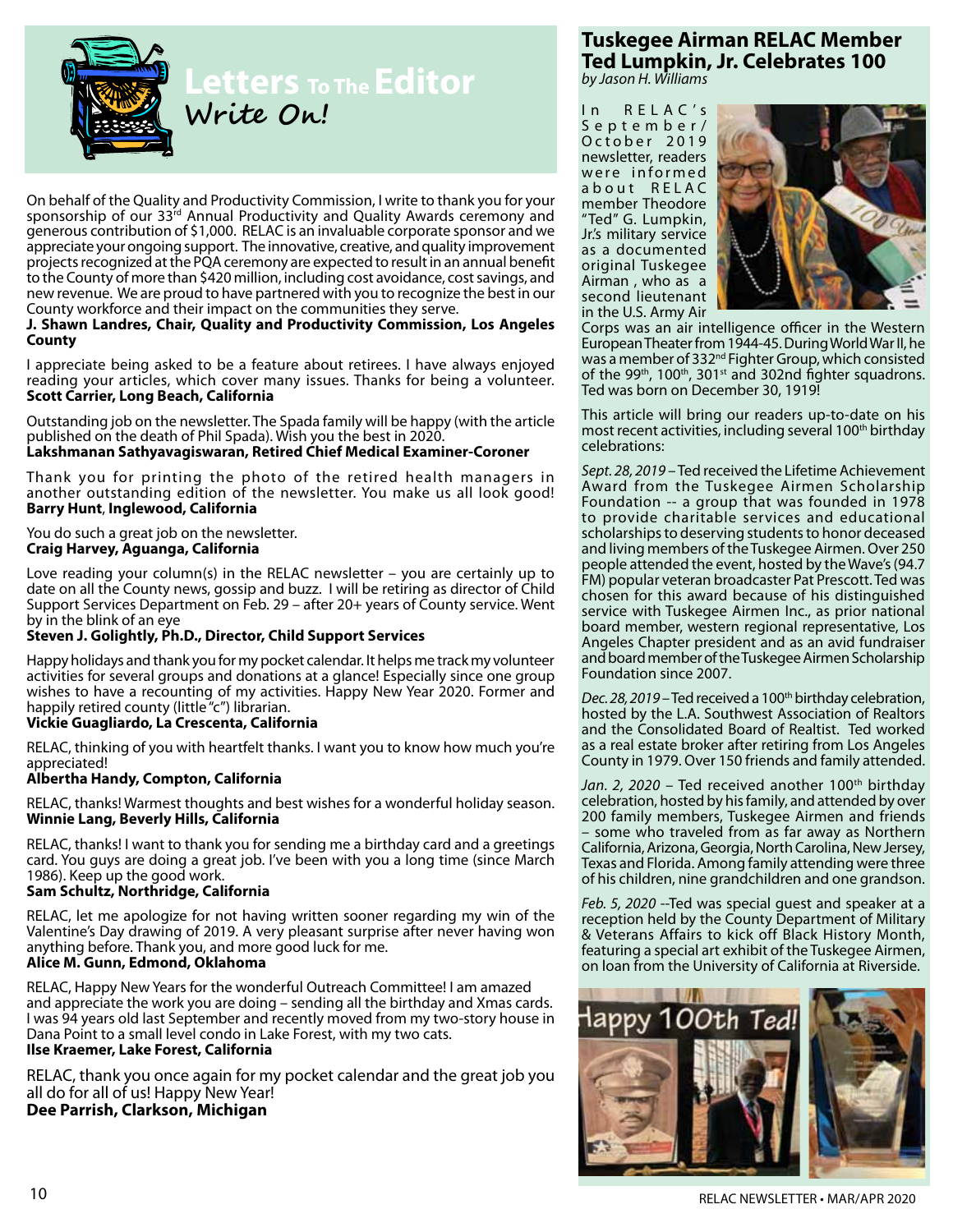

On behalf of the Quality and Productivity Commission, I write to thank you for your sponsorship of our 33rd Annual Productivity and Quality Awards ceremony and generous contribution of \$1,000. RELAC is an invaluable corporate sponsor and we appreciate your ongoing support. The innovative, creative, and quality improvement projects recognized at the PQA ceremony are expected to result in an annual benefit to the County of more than \$420 million, including cost avoidance, cost savings, and new revenue. We are proud to have partnered with you to recognize the best in our County workforce and their impact on the communities they serve.

#### **J. Shawn Landres, Chair, Quality and Productivity Commission, Los Angeles County**

I appreciate being asked to be a feature about retirees. I have always enjoyed reading your articles, which cover many issues. Thanks for being a volunteer. **Scott Carrier, Long Beach, California**

Outstanding job on the newsletter. The Spada family will be happy (with the article published on the death of Phil Spada). Wish you the best in 2020.

#### **Lakshmanan Sathyavagiswaran, Retired Chief Medical Examiner-Coroner**

Thank you for printing the photo of the retired health managers in another outstanding edition of the newsletter. You make us all look good! **Barry Hunt**, **Inglewood, California**

You do such a great job on the newsletter. **Craig Harvey, Aguanga, California**

Love reading your column(s) in the RELAC newsletter – you are certainly up to date on all the County news, gossip and buzz. I will be retiring as director of Child Support Services Department on Feb. 29 – after 20+ years of County service. Went by in the blink of an eye

#### **Steven J. Golightly, Ph.D., Director, Child Support Services**

Happy holidays and thank you for my pocket calendar. It helps me track my volunteer activities for several groups and donations at a glance! Especially since one group wishes to have a recounting of my activities. Happy New Year 2020. Former and happily retired county (little "c") librarian.

#### **Vickie Guagliardo, La Crescenta, California**

RELAC, thinking of you with heartfelt thanks. I want you to know how much you're appreciated!

#### **Albertha Handy, Compton, California**

RELAC, thanks! Warmest thoughts and best wishes for a wonderful holiday season. **Winnie Lang, Beverly Hills, California**

RELAC, thanks! I want to thank you for sending me a birthday card and a greetings card. You guys are doing a great job. I've been with you a long time (since March 1986). Keep up the good work.

#### **Sam Schultz, Northridge, California**

RELAC, let me apologize for not having written sooner regarding my win of the Valentine's Day drawing of 2019. A very pleasant surprise after never having won anything before. Thank you, and more good luck for me.

#### **Alice M. Gunn, Edmond, Oklahoma**

RELAC, Happy New Years for the wonderful Outreach Committee! I am amazed and appreciate the work you are doing – sending all the birthday and Xmas cards. I was 94 years old last September and recently moved from my two-story house in Dana Point to a small level condo in Lake Forest, with my two cats.

#### **Ilse Kraemer, Lake Forest, California**

RELAC, thank you once again for my pocket calendar and the great job you all do for all of us! Happy New Year!

#### **Dee Parrish, Clarkson, Michigan**

# **Tuskegee Airman RELAC Member Ted Lumpkin, Jr. Celebrates 100**

*by Jason H. Williams*

In RELAC's September/ October 2019 newsletter, readers were informed about RELAC member Theodore "Ted" G. Lumpkin, Jr.'s military service as a documented original Tuskegee Airman , who as a second lieutenant in the U.S. Army Air



Corps was an air intelligence officer in the Western European Theater from 1944-45. During World War II, he was a member of 332nd Fighter Group, which consisted of the 99<sup>th</sup>, 100<sup>th</sup>, 301<sup>st</sup> and 302nd fighter squadrons. Ted was born on December 30, 1919!

This article will bring our readers up-to-date on his most recent activities, including several 100<sup>th</sup> birthday celebrations:

*Sept. 28, 2019* – Ted received the Lifetime Achievement Award from the Tuskegee Airmen Scholarship Foundation -- a group that was founded in 1978 to provide charitable services and educational scholarships to deserving students to honor deceased and living members of the Tuskegee Airmen. Over 250 people attended the event, hosted by the Wave's (94.7 FM) popular veteran broadcaster Pat Prescott. Ted was chosen for this award because of his distinguished service with Tuskegee Airmen Inc., as prior national board member, western regional representative, Los Angeles Chapter president and as an avid fundraiser and board member of the Tuskegee Airmen Scholarship Foundation since 2007.

Dec. 28, 2019 – Ted received a 100<sup>th</sup> birthday celebration, hosted by the L.A. Southwest Association of Realtors and the Consolidated Board of Realtist. Ted worked as a real estate broker after retiring from Los Angeles County in 1979. Over 150 friends and family attended.

Jan. 2, 2020 - Ted received another 100<sup>th</sup> birthday celebration, hosted by his family, and attended by over 200 family members, Tuskegee Airmen and friends – some who traveled from as far away as Northern California, Arizona, Georgia, North Carolina, New Jersey, Texas and Florida. Among family attending were three of his children, nine grandchildren and one grandson.

*Feb. 5, 2020* --Ted was special guest and speaker at a reception held by the County Department of Military & Veterans Affairs to kick off Black History Month, featuring a special art exhibit of the Tuskegee Airmen, on loan from the University of California at Riverside.



RELAC NEWSLETTER • Mar/Apr 2020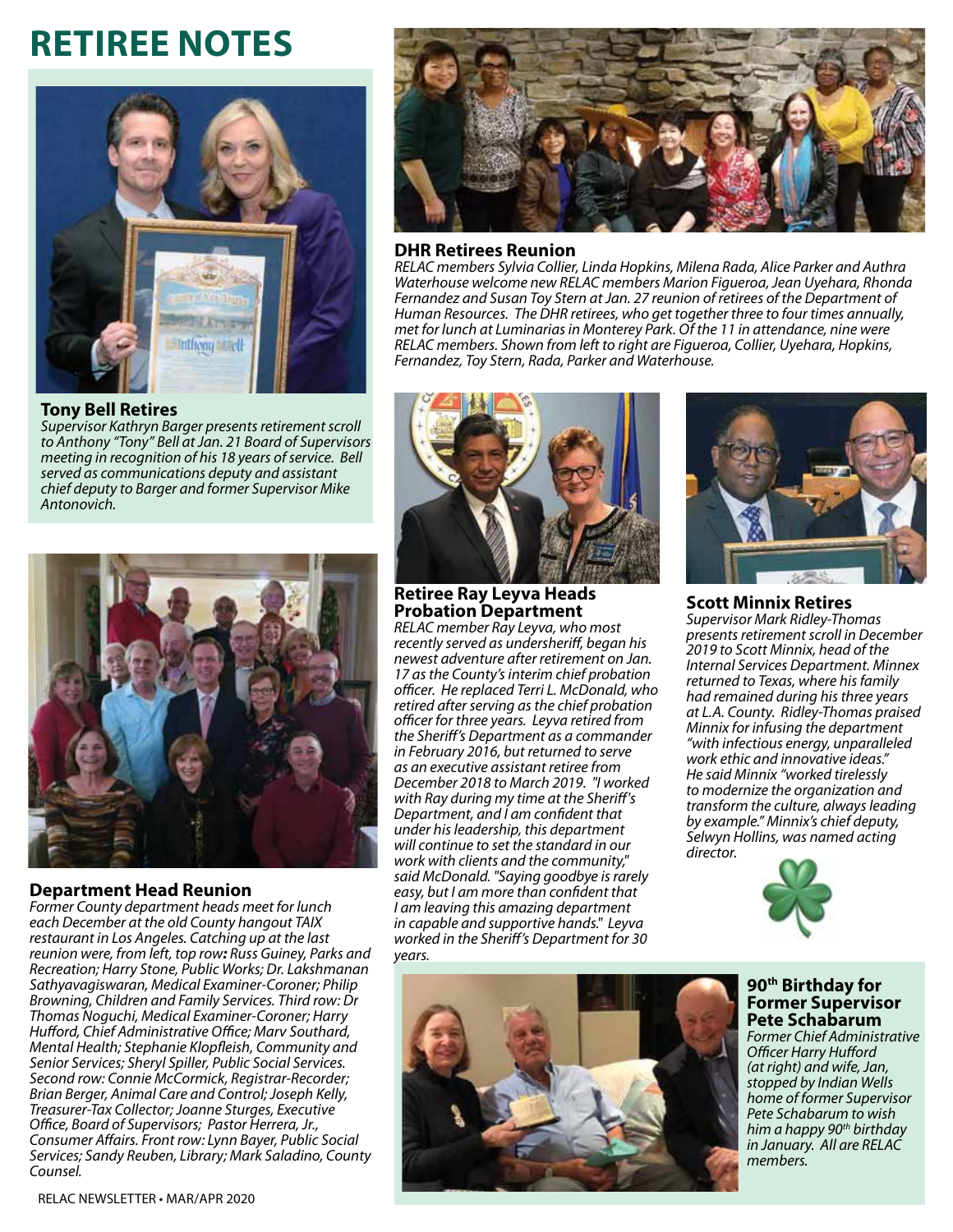# **Retiree Notes**



**Tony Bell Retires**

*Supervisor Kathryn Barger presents retirement scroll to Anthony "Tony" Bell at Jan. 21 Board of Supervisors meeting in recognition of his 18 years of service. Bell served as communications deputy and assistant chief deputy to Barger and former Supervisor Mike Antonovich.*



**Department Head Reunion** *Former County department heads meet for lunch each December at the old County hangout TAIX restaurant in Los Angeles. Catching up at the last reunion were, from left, top row: Russ Guiney, Parks and Recreation; Harry Stone, Public Works; Dr. Lakshmanan Sathyavagiswaran, Medical Examiner-Coroner; Philip Browning, Children and Family Services. Third row: Dr Thomas Noguchi, Medical Examiner-Coroner; Harry Hufford, Chief Administrative Office; Marv Southard, Mental Health; Stephanie Klopfleish, Community and Senior Services; Sheryl Spiller, Public Social Services. Second row: Connie McCormick, Registrar-Recorder; Brian Berger, Animal Care and Control; Joseph Kelly, Treasurer-Tax Collector; Joanne Sturges, Executive Office, Board of Supervisors; Pastor Herrera, Jr., Consumer Affairs. Front row: Lynn Bayer, Public Social Services; Sandy Reuben, Library; Mark Saladino, County Counsel.*



#### **DHR Retirees Reunion**

*RELAC members Sylvia Collier, Linda Hopkins, Milena Rada, Alice Parker and Authra Waterhouse welcome new RELAC members Marion Figueroa, Jean Uyehara, Rhonda Fernandez and Susan Toy Stern at Jan. 27 reunion of retirees of the Department of Human Resources. The DHR retirees, who get together three to four times annually, met for lunch at Luminarias in Monterey Park. Of the 11 in attendance, nine were RELAC members. Shown from left to right are Figueroa, Collier, Uyehara, Hopkins, Fernandez, Toy Stern, Rada, Parker and Waterhouse.*



#### **Retiree Ray Leyva Heads Probation Department**

*RELAC member Ray Leyva, who most recently served as undersheriff, began his newest adventure after retirement on Jan. 17 as the County's interim chief probation officer. He replaced Terri L. McDonald, who retired after serving as the chief probation officer for three years. Leyva retired from the Sheriff's Department as a commander in February 2016, but returned to serve as an executive assistant retiree from December 2018 to March 2019. "I worked with Ray during my time at the Sheriff's Department, and I am confident that under his leadership, this department will continue to set the standard in our work with clients and the community," said McDonald. "Saying goodbye is rarely easy, but I am more than confident that I am leaving this amazing department in capable and supportive hands." Leyva worked in the Sheriff's Department for 30 years.*



#### **Scott Minnix Retires**

*Supervisor Mark Ridley-Thomas presents retirement scroll in December 2019 to Scott Minnix, head of the Internal Services Department. Minnex returned to Texas, where his family had remained during his three years at L.A. County. Ridley-Thomas praised Minnix for infusing the department "with infectious energy, unparalleled work ethic and innovative ideas." He said Minnix "worked tirelessly to modernize the organization and transform the culture, always leading by example." Minnix's chief deputy, Selwyn Hollins, was named acting director.*



# **90th Birthday for Former Supervisor Pete Schabarum**

*Former Chief Administrative Officer Harry Hufford (at right) and wife, Jan, stopped by Indian Wells home of former Supervisor Pete Schabarum to wish him a happy 90th birthday in January. All are RELAC members.*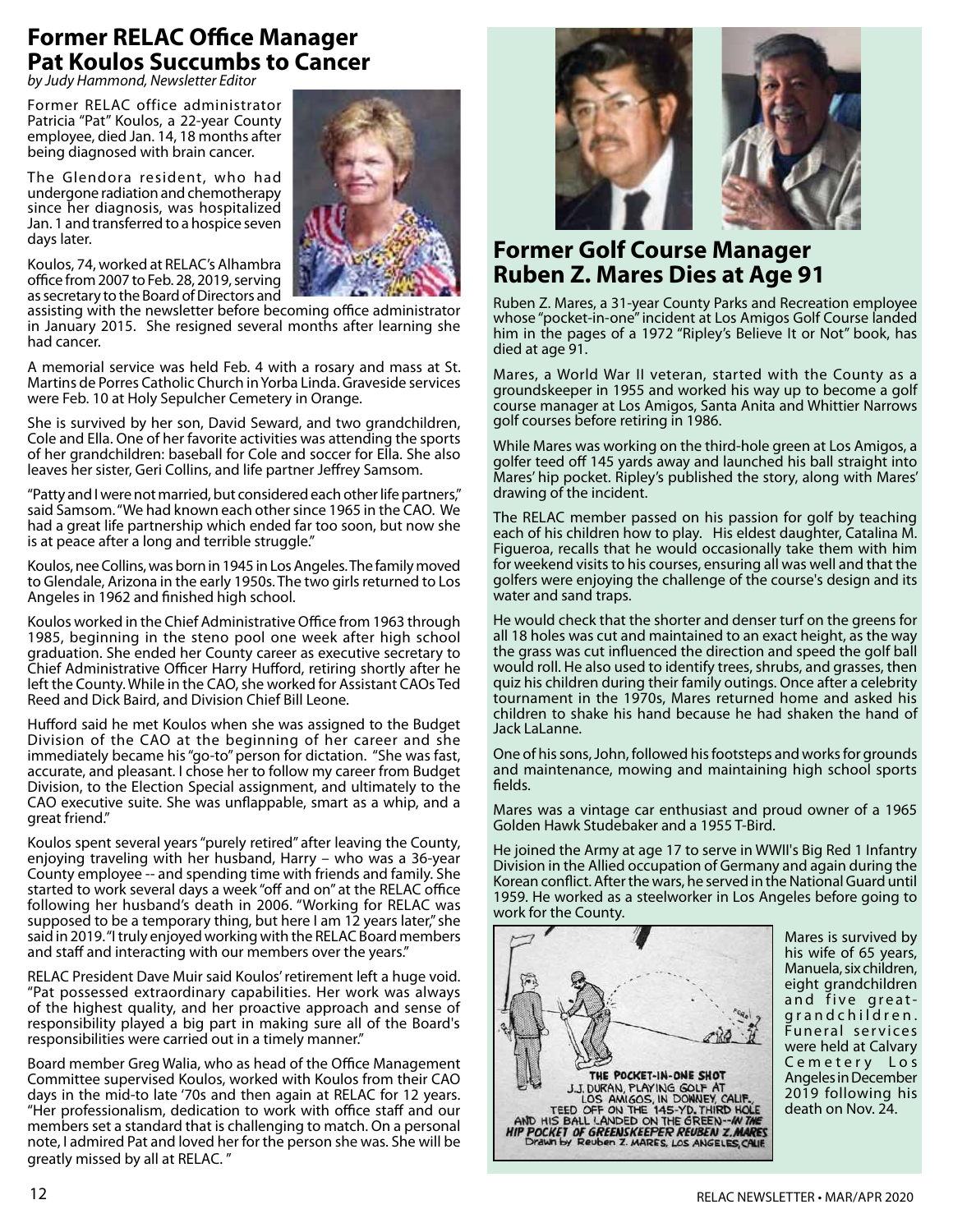# **Former RELAC Office Manager Pat Koulos Succumbs to Cancer**

*by Judy Hammond, Newsletter Editor* 

Former RELAC office administrator Patricia "Pat" Koulos, a 22-year County employee, died Jan. 14, 18 months after being diagnosed with brain cancer.

The Glendora resident, who had undergone radiation and chemotherapy since her diagnosis, was hospitalized Jan. 1 and transferred to a hospice seven days later.



Koulos, 74, worked at RELAC's Alhambra office from 2007 to Feb. 28, 2019, serving as secretary to the Board of Directors and

assisting with the newsletter before becoming office administrator in January 2015. She resigned several months after learning she had cancer.

A memorial service was held Feb. 4 with a rosary and mass at St. Martins de Porres Catholic Church in Yorba Linda. Graveside services were Feb. 10 at Holy Sepulcher Cemetery in Orange.

She is survived by her son, David Seward, and two grandchildren, Cole and Ella. One of her favorite activities was attending the sports of her grandchildren: baseball for Cole and soccer for Ella. She also leaves her sister, Geri Collins, and life partner Jeffrey Samsom.

"Patty and I were not married, but considered each other life partners," said Samsom. "We had known each other since 1965 in the CAO. We had a great life partnership which ended far too soon, but now she is at peace after a long and terrible struggle."

Koulos, nee Collins, was born in 1945 in Los Angeles. The family moved to Glendale, Arizona in the early 1950s. The two girls returned to Los Angeles in 1962 and finished high school.

Koulos worked in the Chief Administrative Office from 1963 through 1985, beginning in the steno pool one week after high school graduation. She ended her County career as executive secretary to Chief Administrative Officer Harry Hufford, retiring shortly after he left the County. While in the CAO, she worked for Assistant CAOs Ted Reed and Dick Baird, and Division Chief Bill Leone.

Hufford said he met Koulos when she was assigned to the Budget Division of the CAO at the beginning of her career and she immediately became his "go-to" person for dictation. "She was fast, accurate, and pleasant. I chose her to follow my career from Budget Division, to the Election Special assignment, and ultimately to the CAO executive suite. She was unflappable, smart as a whip, and a great friend."

Koulos spent several years "purely retired" after leaving the County, enjoying traveling with her husband, Harry – who was a 36-year County employee -- and spending time with friends and family. She started to work several days a week "off and on" at the RELAC office following her husband's death in 2006. "Working for RELAC was supposed to be a temporary thing, but here I am 12 years later," she said in 2019. "I truly enjoyed working with the RELAC Board members and staff and interacting with our members over the years."

RELAC President Dave Muir said Koulos' retirement left a huge void. "Pat possessed extraordinary capabilities. Her work was always of the highest quality, and her proactive approach and sense of responsibility played a big part in making sure all of the Board's responsibilities were carried out in a timely manner."

Board member Greg Walia, who as head of the Office Management Committee supervised Koulos, worked with Koulos from their CAO days in the mid-to late '70s and then again at RELAC for 12 years. "Her professionalism, dedication to work with office staff and our members set a standard that is challenging to match. On a personal note, I admired Pat and loved her for the person she was. She will be greatly missed by all at RELAC. "



# **Former Golf Course Manager Ruben Z. Mares Dies at Age 91**

Ruben Z. Mares, a 31-year County Parks and Recreation employee whose "pocket-in-one" incident at Los Amigos Golf Course landed him in the pages of a 1972 "Ripley's Believe It or Not" book, has died at age 91.

Mares, a World War II veteran, started with the County as a groundskeeper in 1955 and worked his way up to become a golf course manager at Los Amigos, Santa Anita and Whittier Narrows golf courses before retiring in 1986.

While Mares was working on the third-hole green at Los Amigos, a golfer teed off 145 yards away and launched his ball straight into Mares' hip pocket. Ripley's published the story, along with Mares' drawing of the incident.

The RELAC member passed on his passion for golf by teaching each of his children how to play. His eldest daughter, Catalina M. Figueroa, recalls that he would occasionally take them with him for weekend visits to his courses, ensuring all was well and that the golfers were enjoying the challenge of the course's design and its water and sand traps.

He would check that the shorter and denser turf on the greens for all 18 holes was cut and maintained to an exact height, as the way the grass was cut influenced the direction and speed the golf ball would roll. He also used to identify trees, shrubs, and grasses, then quiz his children during their family outings. Once after a celebrity tournament in the 1970s, Mares returned home and asked his children to shake his hand because he had shaken the hand of Jack LaLanne.

One of his sons, John, followed his footsteps and works for grounds and maintenance, mowing and maintaining high school sports fields.

Mares was a vintage car enthusiast and proud owner of a 1965 Golden Hawk Studebaker and a 1955 T-Bird.

He joined the Army at age 17 to serve in WWII's Big Red 1 Infantry Division in the Allied occupation of Germany and again during the Korean conflict. After the wars, he served in the National Guard until 1959. He worked as a steelworker in Los Angeles before going to work for the County.



Mares is survived by his wife of 65 years, Manuela, six children, eight grandchildren and five greatgrand children. Funeral services were held at Calvary Cemetery Los Angeles in December 2019 following his death on Nov. 24.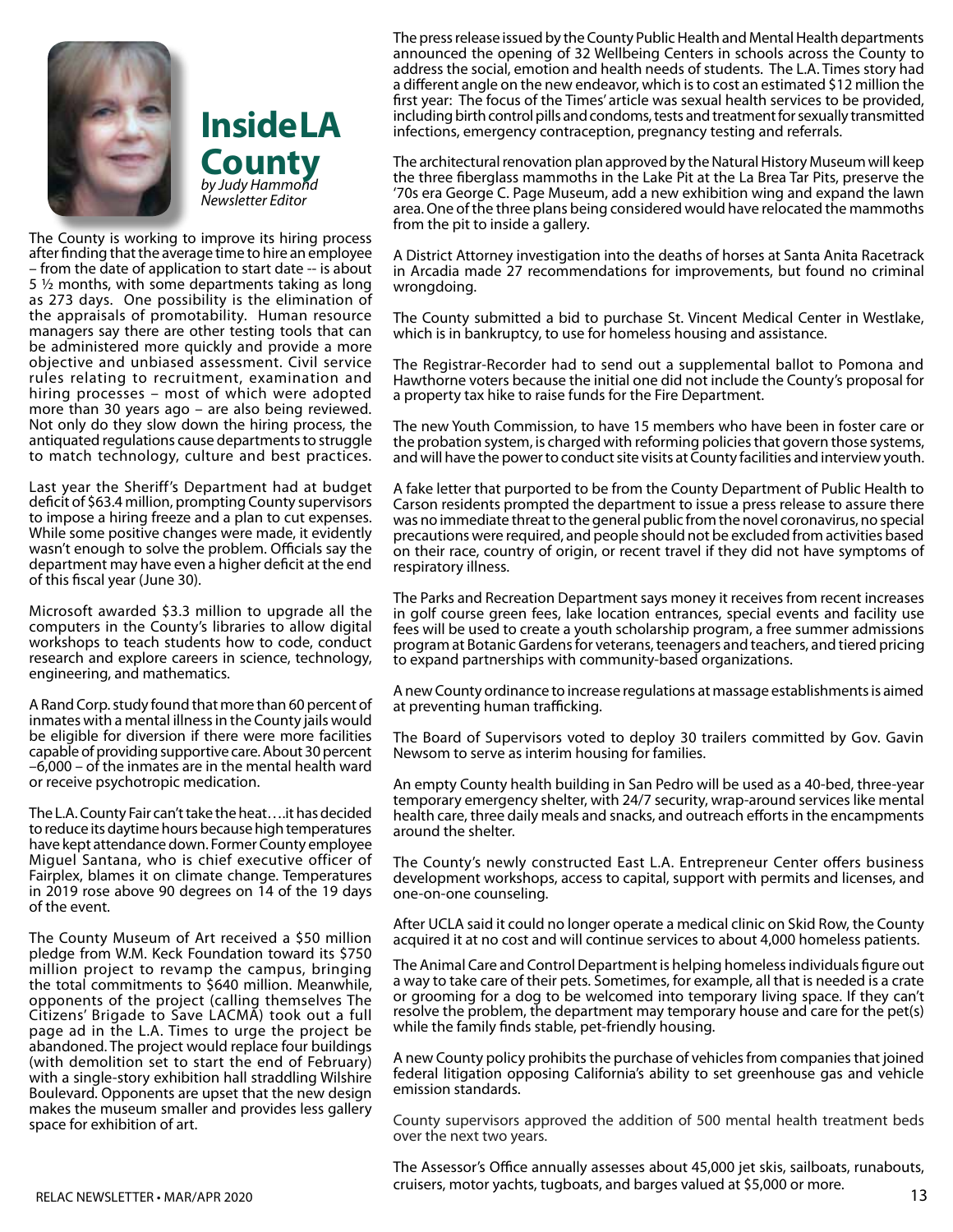



The County is working to improve its hiring process after finding that the average time to hire an employee – from the date of application to start date -- is about 5 ½ months, with some departments taking as long as 273 days. One possibility is the elimination of the appraisals of promotability. Human resource managers say there are other testing tools that can be administered more quickly and provide a more objective and unbiased assessment. Civil service rules relating to recruitment, examination and hiring processes – most of which were adopted more than 30 years ago – are also being reviewed. Not only do they slow down the hiring process, the antiquated regulations cause departments to struggle to match technology, culture and best practices.

Last year the Sheriff's Department had at budget deficit of \$63.4 million, prompting County supervisors to impose a hiring freeze and a plan to cut expenses. While some positive changes were made, it evidently wasn't enough to solve the problem. Officials say the department may have even a higher deficit at the end of this fiscal year (June 30).

Microsoft awarded \$3.3 million to upgrade all the computers in the County's libraries to allow digital workshops to teach students how to code, conduct research and explore careers in science, technology, engineering, and mathematics.

A Rand Corp. study found that more than 60 percent of inmates with a mental illness in the County jails would be eligible for diversion if there were more facilities capable of providing supportive care. About 30 percent –6,000 – of the inmates are in the mental health ward or receive psychotropic medication.

The L.A. County Fair can't take the heat….it has decided to reduce its daytime hours because high temperatures have kept attendance down. Former County employee Miguel Santana, who is chief executive officer of Fairplex, blames it on climate change. Temperatures in 2019 rose above 90 degrees on 14 of the 19 days of the event.

The County Museum of Art received a \$50 million pledge from W.M. Keck Foundation toward its \$750 million project to revamp the campus, bringing the total commitments to \$640 million. Meanwhile, opponents of the project (calling themselves The Citizens' Brigade to Save LACMA) took out a full page ad in the L.A. Times to urge the project be abandoned. The project would replace four buildings (with demolition set to start the end of February) with a single-story exhibition hall straddling Wilshire Boulevard. Opponents are upset that the new design makes the museum smaller and provides less gallery space for exhibition of art.

The press release issued by the County Public Health and Mental Health departments announced the opening of 32 Wellbeing Centers in schools across the County to address the social, emotion and health needs of students. The L.A. Times story had a different angle on the new endeavor, which is to cost an estimated \$12 million the first year: The focus of the Times' article was sexual health services to be provided, including birth control pills and condoms, tests and treatment for sexually transmitted infections, emergency contraception, pregnancy testing and referrals.

The architectural renovation plan approved by the Natural History Museum will keep the three fiberglass mammoths in the Lake Pit at the La Brea Tar Pits, preserve the '70s era George C. Page Museum, add a new exhibition wing and expand the lawn area. One of the three plans being considered would have relocated the mammoths from the pit to inside a gallery.

A District Attorney investigation into the deaths of horses at Santa Anita Racetrack in Arcadia made 27 recommendations for improvements, but found no criminal wrongdoing.

The County submitted a bid to purchase St. Vincent Medical Center in Westlake, which is in bankruptcy, to use for homeless housing and assistance.

The Registrar-Recorder had to send out a supplemental ballot to Pomona and Hawthorne voters because the initial one did not include the County's proposal for a property tax hike to raise funds for the Fire Department.

The new Youth Commission, to have 15 members who have been in foster care or the probation system, is charged with reforming policies that govern those systems, and will have the power to conduct site visits at County facilities and interview youth.

A fake letter that purported to be from the County Department of Public Health to Carson residents prompted the department to issue a press release to assure there was no immediate threat to the general public from the novel coronavirus, no special precautions were required, and people should not be excluded from activities based on their race, country of origin, or recent travel if they did not have symptoms of respiratory illness.

The Parks and Recreation Department says money it receives from recent increases in golf course green fees, lake location entrances, special events and facility use fees will be used to create a youth scholarship program, a free summer admissions program at Botanic Gardens for veterans, teenagers and teachers, and tiered pricing to expand partnerships with community-based organizations.

A new County ordinance to increase regulations at massage establishments is aimed at preventing human trafficking.

The Board of Supervisors voted to deploy 30 trailers committed by Gov. Gavin Newsom to serve as interim housing for families.

An empty County health building in San Pedro will be used as a 40-bed, three-year temporary emergency shelter, with 24/7 security, wrap-around services like mental health care, three daily meals and snacks, and outreach efforts in the encampments around the shelter.

The County's newly constructed East L.A. Entrepreneur Center offers business development workshops, access to capital, support with permits and licenses, and one-on-one counseling.

After UCLA said it could no longer operate a medical clinic on Skid Row, the County acquired it at no cost and will continue services to about 4,000 homeless patients.

The Animal Care and Control Department is helping homeless individuals figure out a way to take care of their pets. Sometimes, for example, all that is needed is a crate or grooming for a dog to be welcomed into temporary living space. If they can't resolve the problem, the department may temporary house and care for the pet(s) while the family finds stable, pet-friendly housing.

A new County policy prohibits the purchase of vehicles from companies that joined federal litigation opposing California's ability to set greenhouse gas and vehicle emission standards.

County supervisors approved the addition of 500 mental health treatment beds over the next two years.

The Assessor's Office annually assesses about 45,000 jet skis, sailboats, runabouts, cruisers, motor yachts, tugboats, and barges valued at \$5,000 or more.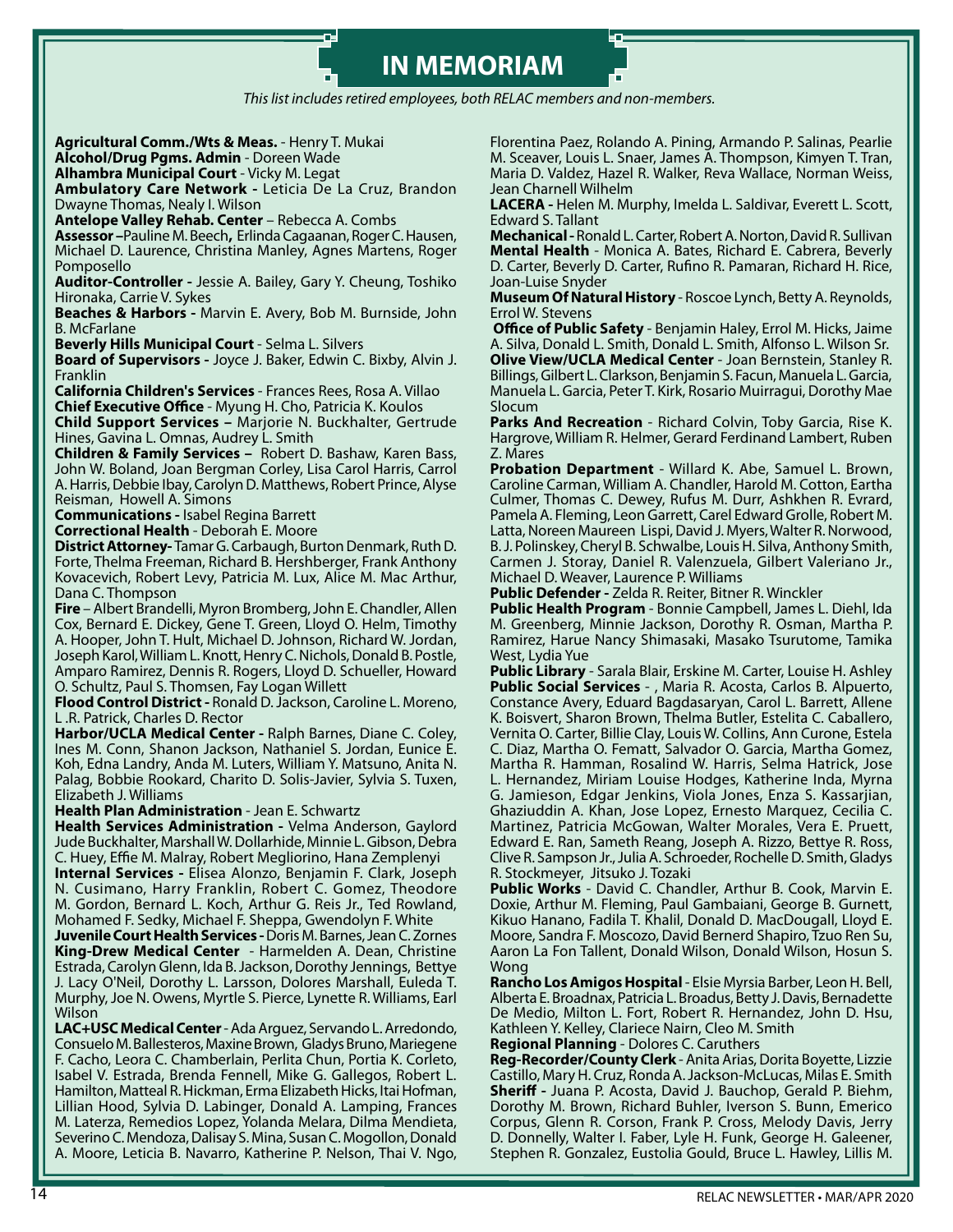# **IN MEMORIAM**

*This list includes retired employees, both RELAC members and non-members.*

**Agricultural Comm./Wts & Meas.** - Henry T. Mukai

**Alcohol/Drug Pgms. Admin** - Doreen Wade

**Alhambra Municipal Court** - Vicky M. Legat

**Ambulatory Care Network -** Leticia De La Cruz, Brandon Dwayne Thomas, Nealy I. Wilson

**Antelope Valley Rehab. Center** – Rebecca A. Combs

**Assessor –**Pauline M. Beech**,** Erlinda Cagaanan, Roger C. Hausen, Michael D. Laurence, Christina Manley, Agnes Martens, Roger Pomposello

**Auditor-Controller -** Jessie A. Bailey, Gary Y. Cheung, Toshiko Hironaka, Carrie V. Sykes

**Beaches & Harbors -** Marvin E. Avery, Bob M. Burnside, John B. McFarlane

**Beverly Hills Municipal Court** - Selma L. Silvers

**Board of Supervisors -** Joyce J. Baker, Edwin C. Bixby, Alvin J. Franklin

**California Children's Services** - Frances Rees, Rosa A. Villao **Chief Executive Office** - Myung H. Cho, Patricia K. Koulos **Child Support Services –** Marjorie N. Buckhalter, Gertrude

Hines, Gavina L. Omnas, Audrey L. Smith **Children & Family Services –** Robert D. Bashaw, Karen Bass, John W. Boland, Joan Bergman Corley, Lisa Carol Harris, Carrol A. Harris, Debbie Ibay, Carolyn D. Matthews, Robert Prince, Alyse Reisman, Howell A. Simons

**Communications -** Isabel Regina Barrett

**Correctional Health** - Deborah E. Moore

**District Attorney-** Tamar G. Carbaugh, Burton Denmark, Ruth D. Forte, Thelma Freeman, Richard B. Hershberger, Frank Anthony Kovacevich, Robert Levy, Patricia M. Lux, Alice M. Mac Arthur, Dana C. Thompson

**Fire** – Albert Brandelli, Myron Bromberg, John E. Chandler, Allen Cox, Bernard E. Dickey, Gene T. Green, Lloyd O. Helm, Timothy A. Hooper, John T. Hult, Michael D. Johnson, Richard W. Jordan, Joseph Karol, William L. Knott, Henry C. Nichols, Donald B. Postle, Amparo Ramirez, Dennis R. Rogers, Lloyd D. Schueller, Howard O. Schultz, Paul S. Thomsen, Fay Logan Willett

**Flood Control District -** Ronald D. Jackson, Caroline L. Moreno, L .R. Patrick, Charles D. Rector

**Harbor/UCLA Medical Center -** Ralph Barnes, Diane C. Coley, Ines M. Conn, Shanon Jackson, Nathaniel S. Jordan, Eunice E. Koh, Edna Landry, Anda M. Luters, William Y. Matsuno, Anita N. Palag, Bobbie Rookard, Charito D. Solis-Javier, Sylvia S. Tuxen, Elizabeth J. Williams

**Health Plan Administration** - Jean E. Schwartz

**Health Services Administration -** Velma Anderson, Gaylord Jude Buckhalter, Marshall W. Dollarhide, Minnie L. Gibson, Debra C. Huey, Effie M. Malray, Robert Megliorino, Hana Zemplenyi

**Internal Services -** Elisea Alonzo, Benjamin F. Clark, Joseph N. Cusimano, Harry Franklin, Robert C. Gomez, Theodore M. Gordon, Bernard L. Koch, Arthur G. Reis Jr., Ted Rowland, Mohamed F. Sedky, Michael F. Sheppa, Gwendolyn F. White

**Juvenile Court Health Services -** Doris M. Barnes, Jean C. Zornes **King-Drew Medical Center** - Harmelden A. Dean, Christine Estrada, Carolyn Glenn, Ida B. Jackson, Dorothy Jennings, Bettye J. Lacy O'Neil, Dorothy L. Larsson, Dolores Marshall, Euleda T. Murphy, Joe N. Owens, Myrtle S. Pierce, Lynette R. Williams, Earl Wilson

**LAC+USC Medical Center** - Ada Arguez, Servando L. Arredondo, Consuelo M. Ballesteros, Maxine Brown, Gladys Bruno, Mariegene F. Cacho, Leora C. Chamberlain, Perlita Chun, Portia K. Corleto, Isabel V. Estrada, Brenda Fennell, Mike G. Gallegos, Robert L. Hamilton, Matteal R. Hickman, Erma Elizabeth Hicks, Itai Hofman, Lillian Hood, Sylvia D. Labinger, Donald A. Lamping, Frances M. Laterza, Remedios Lopez, Yolanda Melara, Dilma Mendieta, Severino C. Mendoza, Dalisay S. Mina, Susan C. Mogollon, Donald A. Moore, Leticia B. Navarro, Katherine P. Nelson, Thai V. Ngo,

Florentina Paez, Rolando A. Pining, Armando P. Salinas, Pearlie M. Sceaver, Louis L. Snaer, James A. Thompson, Kimyen T. Tran, Maria D. Valdez, Hazel R. Walker, Reva Wallace, Norman Weiss, Jean Charnell Wilhelm

**LACERA -** Helen M. Murphy, Imelda L. Saldivar, Everett L. Scott, Edward S. Tallant

**Mechanical -** Ronald L. Carter, Robert A. Norton, David R. Sullivan **Mental Health** - Monica A. Bates, Richard E. Cabrera, Beverly D. Carter, Beverly D. Carter, Rufino R. Pamaran, Richard H. Rice, Joan-Luise Snyder

**Museum Of Natural History** - Roscoe Lynch, Betty A. Reynolds, Errol W. Stevens

**Office of Public Safety** - Benjamin Haley, Errol M. Hicks, Jaime A. Silva, Donald L. Smith, Donald L. Smith, Alfonso L. Wilson Sr. **Olive View/UCLA Medical Center** - Joan Bernstein, Stanley R. Billings, Gilbert L. Clarkson, Benjamin S. Facun, Manuela L. Garcia, Manuela L. Garcia, Peter T. Kirk, Rosario Muirragui, Dorothy Mae Slocum

**Parks And Recreation** - Richard Colvin, Toby Garcia, Rise K. Hargrove, William R. Helmer, Gerard Ferdinand Lambert, Ruben Z. Mares

**Probation Department** - Willard K. Abe, Samuel L. Brown, Caroline Carman, William A. Chandler, Harold M. Cotton, Eartha Culmer, Thomas C. Dewey, Rufus M. Durr, Ashkhen R. Evrard, Pamela A. Fleming, Leon Garrett, Carel Edward Grolle, Robert M. Latta, Noreen Maureen Lispi, David J. Myers, Walter R. Norwood, B. J. Polinskey, Cheryl B. Schwalbe, Louis H. Silva, Anthony Smith, Carmen J. Storay, Daniel R. Valenzuela, Gilbert Valeriano Jr., Michael D. Weaver, Laurence P. Williams

**Public Defender -** Zelda R. Reiter, Bitner R. Winckler

**Public Health Program** - Bonnie Campbell, James L. Diehl, Ida M. Greenberg, Minnie Jackson, Dorothy R. Osman, Martha P. Ramirez, Harue Nancy Shimasaki, Masako Tsurutome, Tamika West, Lydia Yue

**Public Library** - Sarala Blair, Erskine M. Carter, Louise H. Ashley **Public Social Services** - , Maria R. Acosta, Carlos B. Alpuerto, Constance Avery, Eduard Bagdasaryan, Carol L. Barrett, Allene K. Boisvert, Sharon Brown, Thelma Butler, Estelita C. Caballero, Vernita O. Carter, Billie Clay, Louis W. Collins, Ann Curone, Estela C. Diaz, Martha O. Fematt, Salvador O. Garcia, Martha Gomez, Martha R. Hamman, Rosalind W. Harris, Selma Hatrick, Jose L. Hernandez, Miriam Louise Hodges, Katherine Inda, Myrna G. Jamieson, Edgar Jenkins, Viola Jones, Enza S. Kassarjian, Ghaziuddin A. Khan, Jose Lopez, Ernesto Marquez, Cecilia C. Martinez, Patricia McGowan, Walter Morales, Vera E. Pruett, Edward E. Ran, Sameth Reang, Joseph A. Rizzo, Bettye R. Ross, Clive R. Sampson Jr., Julia A. Schroeder, Rochelle D. Smith, Gladys R. Stockmeyer, Jitsuko J. Tozaki

**Public Works** - David C. Chandler, Arthur B. Cook, Marvin E. Doxie, Arthur M. Fleming, Paul Gambaiani, George B. Gurnett, Kikuo Hanano, Fadila T. Khalil, Donald D. MacDougall, Lloyd E. Moore, Sandra F. Moscozo, David Bernerd Shapiro, Tzuo Ren Su, Aaron La Fon Tallent, Donald Wilson, Donald Wilson, Hosun S. Wong

**Rancho Los Amigos Hospital** - Elsie Myrsia Barber, Leon H. Bell, Alberta E. Broadnax, Patricia L. Broadus, Betty J. Davis, Bernadette De Medio, Milton L. Fort, Robert R. Hernandez, John D. Hsu, Kathleen Y. Kelley, Clariece Nairn, Cleo M. Smith

**Regional Planning** - Dolores C. Caruthers

**Reg-Recorder/County Clerk** - Anita Arias, Dorita Boyette, Lizzie Castillo, Mary H. Cruz, Ronda A. Jackson-McLucas, Milas E. Smith **Sheriff -** Juana P. Acosta, David J. Bauchop, Gerald P. Biehm, Dorothy M. Brown, Richard Buhler, Iverson S. Bunn, Emerico Corpus, Glenn R. Corson, Frank P. Cross, Melody Davis, Jerry D. Donnelly, Walter I. Faber, Lyle H. Funk, George H. Galeener, Stephen R. Gonzalez, Eustolia Gould, Bruce L. Hawley, Lillis M.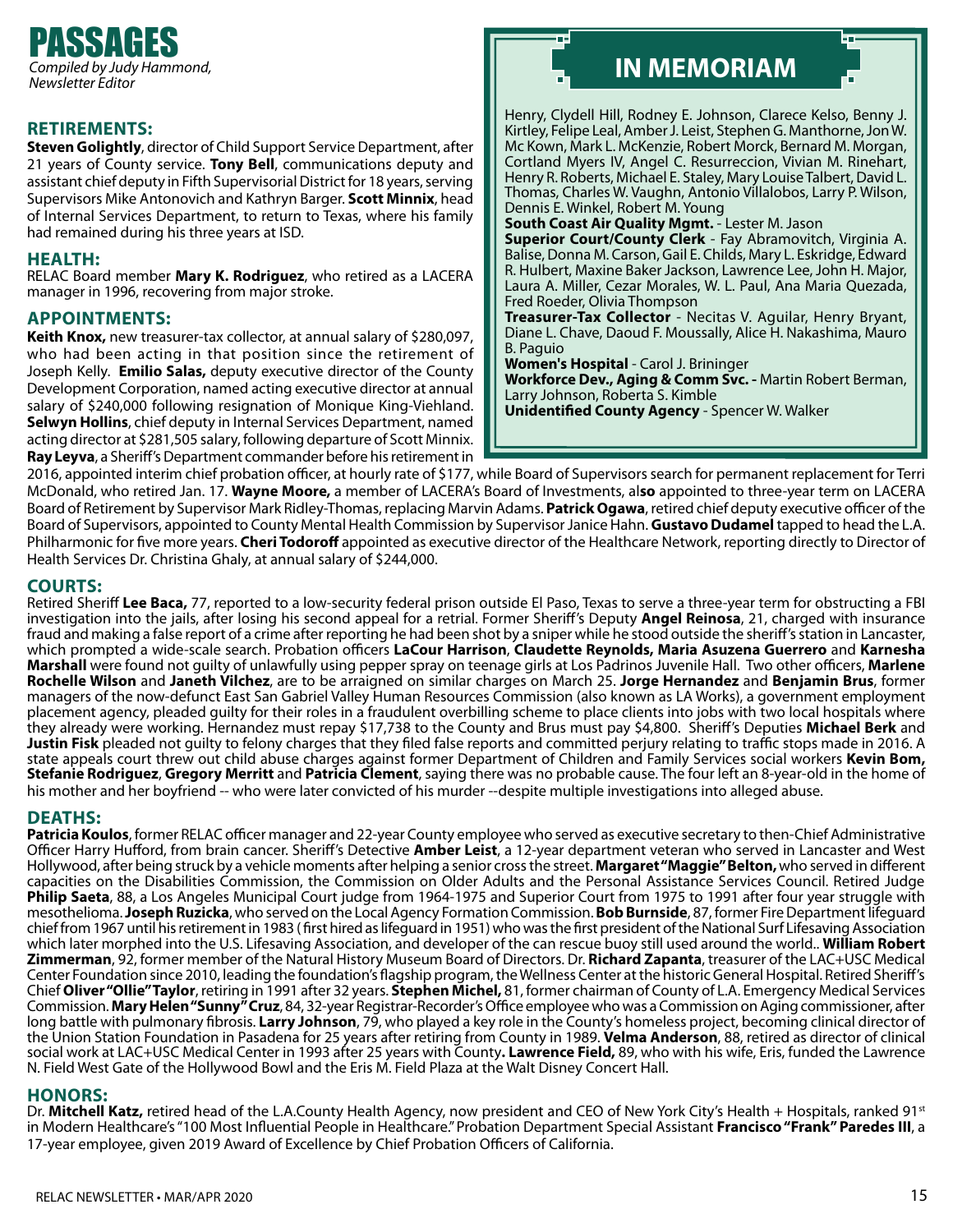

**RETIREMENTS:** Steven Golightly, director of Child Support Service Department, after 21 years of County service. **Tony Bell**, communications deputy and assistant chief deputy in Fifth Supervisorial District for 18 years, serving Supervisors Mike Antonovich and Kathryn Barger. **Scott Minnix**, head of Internal Services Department, to return to Texas, where his family had remained during his three years at ISD.

#### **Health:**

RELAC Board member **Mary K. Rodriguez**, who retired as a LACERA manager in 1996, recovering from major stroke.

**APPOINTMENTS:**<br>**Keith Knox,** new treasurer-tax collector, at annual salary of \$280,097, who had been acting in that position since the retirement of Joseph Kelly. **Emilio Salas,** deputy executive director of the County Development Corporation, named acting executive director at annual salary of \$240,000 following resignation of Monique King-Viehland. **Selwyn Hollins**, chief deputy in Internal Services Department, named acting director at \$281,505 salary, following departure of Scott Minnix. **Ray Leyva**, a Sheriff's Department commander before his retirement in

# **IN MEMORIAM**

Henry, Clydell Hill, Rodney E. Johnson, Clarece Kelso, Benny J. Kirtley, Felipe Leal, Amber J. Leist, Stephen G. Manthorne, Jon W. Mc Kown, Mark L. McKenzie, Robert Morck, Bernard M. Morgan, Cortland Myers IV, Angel C. Resurreccion, Vivian M. Rinehart, Henry R. Roberts, Michael E. Staley, Mary Louise Talbert, David L. Thomas, Charles W. Vaughn, Antonio Villalobos, Larry P. Wilson, Dennis E. Winkel, Robert M. Young

**South Coast Air Quality Mgmt.** - Lester M. Jason **Superior Court/County Clerk** - Fay Abramovitch, Virginia A. Balise, Donna M. Carson, Gail E. Childs, Mary L. Eskridge, Edward R. Hulbert, Maxine Baker Jackson, Lawrence Lee, John H. Major, Laura A. Miller, Cezar Morales, W. L. Paul, Ana Maria Quezada, Fred Roeder, Olivia Thompson

**Treasurer-Tax Collector** - Necitas V. Aguilar, Henry Bryant, Diane L. Chave, Daoud F. Moussally, Alice H. Nakashima, Mauro B. Paguio

**Women's Hospital** - Carol J. Brininger

**Workforce Dev., Aging & Comm Svc. -** Martin Robert Berman, Larry Johnson, Roberta S. Kimble

**Unidentified County Agency** - Spencer W. Walker

2016, appointed interim chief probation officer, at hourly rate of \$177, while Board of Supervisors search for permanent replacement for Terri McDonald, who retired Jan. 17. **Wayne Moore,** a member of LACERA's Board of Investments, al**so** appointed to three-year term on LACERA Board of Retirement by Supervisor Mark Ridley-Thomas, replacing Marvin Adams. **Patrick Ogawa**, retired chief deputy executive officer of the Board of Supervisors, appointed to County Mental Health Commission by Supervisor Janice Hahn. **Gustavo Dudamel** tapped to head the L.A. Philharmonic for five more years. **Cheri Todoroff** appointed as executive director of the Healthcare Network, reporting directly to Director of Health Services Dr. Christina Ghaly, at annual salary of \$244,000.

#### **Courts:**

Retired Sheriff **Lee Baca,** 77, reported to a low-security federal prison outside El Paso, Texas to serve a three-year term for obstructing a FBI investigation into the jails, after losing his second appeal for a retrial. Former Sheriff's Deputy **Angel Reinosa**, 21, charged with insurance fraud and making a false report of a crime after reporting he had been shot by a sniper while he stood outside the sheriff's station in Lancaster, which prompted a wide-scale search. Probation officers **LaCour Harrison**, **Claudette Reynolds, Maria Asuzena Guerrero** and **Karnesha Marshall** were found not guilty of unlawfully using pepper spray on teenage girls at Los Padrinos Juvenile Hall. Two other officers, **Marlene Rochelle Wilson** and **Janeth Vilchez**, are to be arraigned on similar charges on March 25. **Jorge Hernandez** and **Benjamin Brus**, former managers of the now-defunct East San Gabriel Valley Human Resources Commission (also known as LA Works), a government employment placement agency, pleaded guilty for their roles in a fraudulent overbilling scheme to place clients into jobs with two local hospitals where they already were working. Hernandez must repay \$17,738 to the County and Brus must pay \$4,800. Sheriff's Deputies **Michael Berk** and **Justin Fisk** pleaded not guilty to felony charges that they filed false reports and committed perjury relating to traffic stops made in 2016. A state appeals court threw out child abuse charges against former Department of Children and Family Services social workers **Kevin Bom, Stefanie Rodriguez**, **Gregory Merritt** and **Patricia Clement**, saying there was no probable cause. The four left an 8-year-old in the home of his mother and her boyfriend -- who were later convicted of his murder --despite multiple investigations into alleged abuse.

#### **Deaths:**

**Patricia Koulos**, former RELAC officer manager and 22-year County employee who served as executive secretary to then-Chief Administrative Officer Harry Hufford, from brain cancer. Sheriff's Detective **Amber Leist**, a 12-year department veteran who served in Lancaster and West Hollywood, after being struck by a vehicle moments after helping a senior cross the street. **Margaret "Maggie" Belton,** who served in different capacities on the Disabilities Commission, the Commission on Older Adults and the Personal Assistance Services Council. Retired Judge **Philip Saeta**, 88, a Los Angeles Municipal Court judge from 1964-1975 and Superior Court from 1975 to 1991 after four year struggle with mesothelioma. **Joseph Ruzicka**, who served on the Local Agency Formation Commission. **Bob Burnside**, 87, former Fire Department lifeguard chief from 1967 until his retirement in 1983 ( first hired as lifeguard in 1951) who was the first president of the National Surf Lifesaving Association which later morphed into the U.S. Lifesaving Association, and developer of the can rescue buoy still used around the world.. **William Robert Zimmerman**, 92, former member of the Natural History Museum Board of Directors. Dr. **Richard Zapanta**, treasurer of the LAC+USC Medical Center Foundation since 2010, leading the foundation's flagship program, the Wellness Center at the historic General Hospital. Retired Sheriff's Chief **Oliver "Ollie" Taylor**, retiring in 1991 after 32 years. **Stephen Michel,** 81, former chairman of County of L.A. Emergency Medical Services Commission. **Mary Helen "Sunny" Cruz**, 84, 32-year Registrar-Recorder's Office employee who was a Commission on Aging commissioner, after long battle with pulmonary fibrosis. **Larry Johnson**, 79, who played a key role in the County's homeless project, becoming clinical director of the Union Station Foundation in Pasadena for 25 years after retiring from County in 1989. **Velma Anderson**, 88, retired as director of clinical social work at LAC+USC Medical Center in 1993 after 25 years with County**. Lawrence Field,** 89, who with his wife, Eris, funded the Lawrence N. Field West Gate of the Hollywood Bowl and the Eris M. Field Plaza at the Walt Disney Concert Hall.

#### **Honors:**

Dr. **Mitchell Katz,** retired head of the L.A.County Health Agency, now president and CEO of New York City's Health + Hospitals, ranked 91st in Modern Healthcare's "100 Most Influential People in Healthcare." Probation Department Special Assistant **Francisco "Frank" Paredes III**, a 17-year employee, given 2019 Award of Excellence by Chief Probation Officers of California.